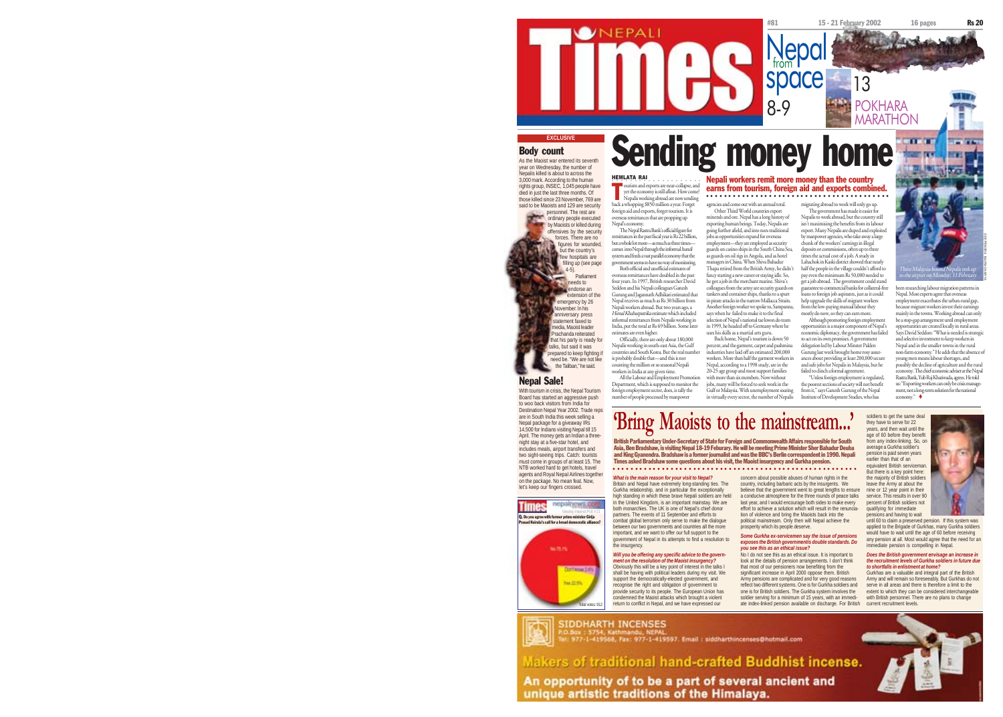

Nepal. Most experts agree that overseas employment exacerbates the urban-rural gap, because migrant workers invest their earnings mainly in the towns. Working abroad can only be a stop-gap arrangement until employment opportunities are created locally in rural areas. Says David Seddon: "What is needed is strategic and selective investment to keep workers in Nepal and in the smaller towns in the rural non-farm economy." He adds that the absence of young men means labour shortages, and possibly the decline of agriculture and the rural economy. The chief economic adviser at the Nepal Rastra Bank, Yub Raj Khatiwada, agrees. He told

been researching labour migration patterns in

-bound Nepalis trek<br>Monday, 11 Febr

 $us:$  "Exporting workers can only bement, not a long-term solution for the national economy."

soldiers to get the same deal they have to serve for 22 years, and then wait until the age of 60 before they benefit from any index-linking. So, or average a Gurkha soldier's pension is paid seven years equivalent British servicema But there is a key point here: the majority of British soldiers leave the Army at about the

Gurkhas are a valuable and integral part of the British Army and will remain so foreseeably. But Gurkhas do not serve in all areas and there is therefore a limit to the with British personnel. There are no plans to change current recruitment levels.

Army pensions are complicated and for very good reasons reflect two different systems. One is for Gurkha soldiers and one is for British soldiers. The Gurkha system involves the extent to which they can be considered interchangeable

ate index-linked pension available on discharge. For British

Makers of traditional hand-crafted Buddhist incense.

An opportunity of to be a part of several ancient and unique artistic traditions of the Himalaya.

Body count

HEMLATA RAI ourism and exports are near-collapse, and yet the economy is still afloat. How come? Nepalis working abroad are now sending back a whopping \$850 million a year. Forget foreign aid and exports, forget tourism. It is overseas remittances that are propping up Nepa<sup>p</sup>e economy. The Nepal Rastra Bank's official figure for remittances in the past fiscal year is Rs 22 billion, but a whole lot more—as much as three times— EXCLUSIVE **EXCLUSIVE SENDING SEVERIT SEDENT SERVERIT SERVERIT SERVERIT SEDENGER** T As the Maoist war entered its seventh year on Wednesday, the number of Nepalis killed is about to across the 3,000 mark. According to the human rights group, INSEC, 1,045 people have died in just the last three months. Of those killed since 23 November, 769 are said to be Maoists and 129 are security personnel. The rest are ordinary people executed by Maoists or killed during offensives by the security forces. There are no figures for wounded.

NEPALI

**but the country's** 

comes into Nepal through the informal hundi system and feeds a vast parallel economy that the Both official and unofficial estimates of overseas remittances have doubled in the past four years. In 1997, British researcher David Seddon and his Nepali colleagues Ganesh Gurung and Jagannath Adhikari estimated that Nepali workers abroad. But two years ago, a Himal Khabarpatrika estimate which included informal remittances from Nepalis working in India, put the total at Rs 69 billion. Some later estimates are even higher. Officially, there are only about 180,000 few hospitals are filling up (see page)  $4-5$ ).<br>Parliamen Parliament needs to endorse an extension of the emergency by 26 ovember. In his anniversary press statement faxed to edia, Maoist leader Prachanda reiterated hat his party is ready for talks, but said it was

prepared to keep fighting if need be. "We are not like the Taliban," he said.

With tourism in crisis, the Nepal Tourism Board has started an aggressive push to woo back visitors from India for

Destination Nepal Year 2002. Trade reps are in South India this week selling a Nepal package for a giveaway IRs 14,500 for Indians visiting Nepal till 15 April. The money gets an Indian a threenight stay at a five-star hotel, and includes meals, airport transfers and two sight-seeing trips. Catch: tourists must come in groups of at least 15. The NTB worked hard to get hotels, travel agents and Royal Nepal Airlines together on the package. No mean feat. Now, let's keep our fingers crossed.

Nepal Sale!

**Times** nepalnews.co Q. Do you agree with former prime minister Girija Prasad Koirala's call for a broad democratic alliance?



Total votes: 912 **SIDDHARTH INCENSES** 

: 977-1-419568, Fax: 977-1-419597. Email : siddharthincenses@hotmail.com

*What is the main reason for your visit to Nepal?* Britain and Nepal have extremely long-standing ties. The Gurkha relationship, and in particular the exceptionally

high standing in which these brave Nepali soldiers are held in the United Kingdom, is an important mainstay. We are both monarchies. The UK is one of Nepal's chief donor partners. The events of 11 September and efforts to combat global terrorism only serve to make the dialogue between our two governments and countries all the more important, and we want to offer our full support to the the insurgency.

## *Will you be offering any specific advice to the govern-*

Obviously this will be a key point of interest in the talks I shall be having with political leaders during my visit. We support the democratically-elected government, and recognise the right and obligation of government to provide security to its people. The European Union has condemned the Maoist attacks which brought a violent return to conflict in Nepal, and we have expressed our



mment of Nepal in its attempts to find a resolution to *ment on the resolution of the Maoist insurgency? Some Gurkha ex-servicemen say the issue of pensions exposes the British governmentís double standards. Do you see this as an ethical issue?* No I do not see this as an ethical issue. It is important to look at the details of pension arrangements. I don't think that most of our pensioners now benefiting from the significant increase in April 2000 oppose them. British

ances about providing at least 200,000 secure and safe jobs for Nepalis in Malaysia, but he failed to clinch a formal agreement. "Unless foreign employment is regulated, the poorest sections of society will not benefit from it," says Ganesh Gurung of the Nepal Institute of Development Studies, who has

#81 15 - 21 February 2002 16 pages Rs 20

13

help upgrade the skills of migrant workers from the low-paying manual labour they mostly do now, so they can earn more. Although promoting foreign employment opportunities is a major component of Nepal's economic diplomacy, the government has failed to act on its own promises. A government delegation led by Labour Minster Palden Gurung last week brought home rosy assur-

migrating abroad to work will only go up. The government has made it easier for Nepalis to work abroad, but the country still

prosperity which its people deserve.

exporting human beings. Today, Nepalis are going further afield, and into non-traditional jobs as opportunities expand for overseas employment—they are employed as security guards on casino ships in the South China Sea, as guards on oil rigs in Angola, and as hotel managers in China. When Shiva Bahadur Thapa retired from the British Army, he didn't fancy starting a new career or staying idle. So, he got a job in the merchant marine. Shiva's colleagues from the army are security guards on tankers and container ships, thanks to a spurt isn't maximising the benefits from its labour export. Many Nepalis are duped and exploited by manpower agencies, who take away a large chunk of the workers' earnings in illegal deposits or commissions, often up to three times the actual cost of a job. A study in Lahachok in Kaski district showed that nearly half the people in the village couldn't afford to pay even the minimum Rs 50,000 needed to get a job abroad. The government could stand guarantee to commercial banks for collateral-free loans to foreign job aspirants, just as it could

Nepali workers remit more money than the country earns from tourism, foreign aid and exports combined.

○○○○○○○○○○○○○○○○○○○○○○○○○○○○○○○○○○○○○ ○○○○

Nepal

space

8-9

in pirate attacks in the narrow Mallacca Straits. Another foreign worker we spoke to, Sampanna, says when he failed to make it to the final selection of Nepal's national tae kwon do team in 1999, he headed off to Germany where he

uses his skills as a martial arts guru. Back home, Nepal's tourism is down 50 percent, and the garment, carpet and pashmina industries have laid off an estimated 200,000 workers. More than half the garment workers in

agencies and come out with an annual total. Other Third World countries export minerals and ore. Nepal has a long history of

20-25 age group and most support families zo zo age group and mon support named jobs, many will be forced to seek work in the

Gulf or Malaysia. With unemployment soaring in virtually every sector, the number of Nepalis

Nepalis working in south-east Asia, the Gulf countries and South Korea. But the real number is probably double that—and this is not counting the million or so seasonal Nepali workers in India at any given time. All the Labour and Employment Prom Nepal, according to a 1998 study, are in the

Department, which is supposed to monitor the foreign employment sector, does, is tally the number of people processed by manpower

ems to have no way of monitoring.

Nepal receives as much as Rs 30 billion from

# **'Bring Maoists to the mainstream...'**



a conducive atmosphere for the three rounds of peace talks last year, and I would encourage both sides to make every effort to achieve a solution which will result in the renunciation of violence and bring the Maoists back into the political mainstream. Only then will Nepal achieve the nine or 12 year point in their service. This results in over 90 percent of British soldiers not qualifying for immediate pensions and having to wait

until 60 to claim a preserved pension. If this system was applied to the Brigade of Gurkhas, many Gurkha soldiers would have to wait until the age of 60 before receiving any pension at all. Most would agree that the need for an immediate pension is compelling in Nepal.

### *Does the British government envisage an increase in the recruitment levels of Gurkha soldiers in future due to shortfalls in enlistment at home?*

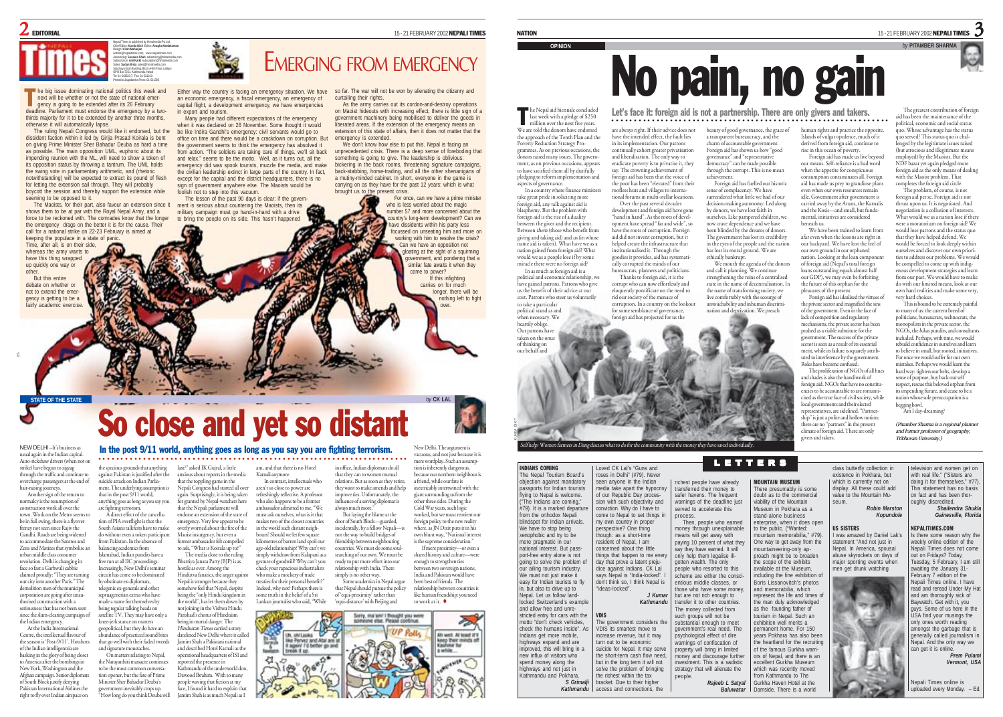### 21 FEBRUARY 2002 **NEPALI TIMES** 15 - 21 FEBRUARY 2002 **NEPALI TIMES**



Nepali Times is published by Himalmedia Pvt Ltd,

Printed at Jagadamba Press: 01-521393

next will be whether or not the state of national emergency is going to be extended after its 26 February deadline. Parliament must endorse the emergency by a twothirds majority for it to be extended by another three months. otherwise it will automatically lapse. T

The ruling Nepali Congress would like it endorsed, but the dissident faction within it led by Girija Prasad Koirala is bent on giving Prime Minister Sher Bahadur Deuba as hard a time as possible. The main opposition UML, euphoric about its impending reunion with the ML, will need to show a token of its opposition status by throwing a tantrum. The UML holds the swing vote in parliamentary arithmetic, and (rhetoric notwithstanding) will be expected to extract its pound of flesh for letting the extension sail through. They will probably boycott the session and thereby support the extension while seeming to be opposed to it.

The Maoists, for their part, also favour an extension since it shows them to be at par with the Royal Nepal Army, and a force to be reckoned with. The comrades know that the longer the emergency drags on the better it is for the cause. Their call for a national strike on 22-23 February is aimed at keeping the populace in a state of pani

Time, after all, is on their side, whereas the army wants to have this thing wrapped up quickly one way or other. But this entire

debate on whether or not to extend the emergency is getting to be a fairly academic exercise

g

Sanchaya Kosh Building, Block A-4th Floor, Lalitpur he big issue dominating national politics this week and

Either way the country is facing an emergency situation. We have an economic emergency, a fiscal emergency, an emergency of capital flight, a development emergency, we have emergencies in export and tourism.

Many people had different expectations of the emergency when it was declared on 26 November. Some thought it would be like Indira Gandhi's emergency: civil servants would go to office on time and there would be a crackdown on corruption. But the government seems to think the emergency has absolved it from action. "The soldiers are taking care of things, we'll sit back and relax," seems to be the motto. Well, as it turns out, all the emergency did was spook tourists, muzzle the media, and make they leadership extinct in large parts of the country. In fact, except for the capital and the district headquarters, there is no sign of government anywhere else. The Maoists would be foolish not to step into this vacuum.

The lesson of the past 90 days is clear: if the government is serious about countering the Maoists, then its military campaign must go hand-in-hand with a drive to bring the people on its side. This hasn't happened

so far. The war will not be won by alienating the citizenry and curtailing their rights.

As the army carries out its cordon-and-destroy operations on Maoist hideouts with increasing effect, there is little sign of a government machinery being mobilised to deliver the goods in liberated areas. If the extension of the emergency means an extension of this state of affairs, then it does not matter that the emergency is extended.

We don't know how else to put this. Nepal is facing an unprecedented crisis. There is a deep sense of foreboding that something is going to give. The leadership is oblivious: bickering in the back rooms, threatening signature campaigns, back-stabbing, horse-trading, and all the other shenanigans of a mutiny-minded cabinet. In short, everyone in the game is carrying on as they have for the past 12 years: which is what brought us to the present crisis.

For once, can we have a prime minister who is less worried about the magic number 57 and more concerned about the country's long-term development? Can we ave dissidents within his party less focussed on unseating him and more on working with him to resolve the crisis? Can we have an opposition not an we have an opposition not government, and pondering that a similar fate awaits it when they come to power? If this infighting carries on for much longer, there will be nothing left to fight over.

he Nepal aid biennale concluded last week with a pledge of \$250

NATION

million over the next five years. We are told the donors have endorsed the approach of the Tenth Plan and the Poverty Reduction Strategy Programmes. As on previous occasions, the donors raised many issues. The government, as on previous occasions, appears to have satisfied them all by dutifully <sup>p</sup>ledging to reform implementation and aspects of governance. In a country where finance ministers take great pride in soliciting more

foreign aid, any talk against aid is blasphemy. But the problem with foreign aid is the rise of a duality between the giver and the recipient Between them (those who benefit from <sup>g</sup>iving and taking aid) and us (in whose name aid is taken). What have we as a nation gained from foreign aid? What would we as a people lose if by some miracle there were no foreign aid? In as much as foreign aid is a political and economic relationship, we have gained patrons. Patrons who give aid did not invent corruption, but it helped create the infrastructure that institutionalised it. Through the<br>goodies it provides, aid has systemat goodies it provides, aid ha cally corrupted the minds of our bureaucrats, planners and politicians.

us the benefit of their advice at our cost. Patrons who steer us voluntarily to take a particular political stand as and .<br>when necessary. We heartily oblige.

Our patrons have taken on the onus of thinking on our behalf and

KUNDA DIXIT

a transparent bureaucracy, and the charm of accountable government. Foreign aid has shown us how "good governance" and "representati democracy" can be made possible through the corrupt. This is no mean

**OPINION** *by* **PITAMBER SHARMA**

sense of complacency. We have surrendered what little we had of our decision-making autonomy. Led along by donors, we have lost faith in ourselves. Like pampered children, we now crave dependence and we have been blinded by the dreams of donors. The government has lost its credibility in the eyes of the people and the nation

ethically bankrupt. We mouth the agenda of the donors and call it planning. We continue strengthening the reins of a centralised state in the name of decentralisation. In

live comfortably with the scourge of untouchability and inhuman discrimination and deprivation. We preach

LETTERS

MOUNTAIN MUSEUM

viability of the Mountain

stand-alone business

to the public. ("Wanted:

available at the Museum, including the fine exhibition of Boris Lissanovitch's photos and memorabilia, which represent the life and times of he man duly acknowledged as the founding father of tourism in Nepal. Such an exhibition well merits a permanent home. For 150

excellent Gurkha Museum which was recently moved rom Kathmandu to The Gurkha Haven Hotel at the

human rights and practice the opposite. Islands of vulgar opulence, much of it derived from foreign aid, continue to rise in this ocean of poverty.

Foreign aid has made us live beyond our means. Self-reliance is a bad word when the appetite for conspicuous consumption contaminates all. Foreign aid has made us prey to grandiose plans even when our own resources remain idle. Government after government is carried away by the Aruns, the Karnalis and the Kosis—and small, but fundamental, initiatives are considered

were a moratorium on foreign aid? We would lose patrons and the status quo that they have helped defend. We would be forced to look deeply within ourselves and discover our own priorities to address our problems. We would be compelled to come up with indigenous development strategies and learn from our past. We would have to make do with our limited means, look at our own hard realities and make some very, very hard choices.

> This is bound to be extremely painful to many of us: the current breed of politicians, bureaucrats, technocrats, the monopolists in the private sector, the NGOs, the bikas pundits, and consultants included. Perhaps, with time, we would rebuild confidence in ourselves and learn to believe in small, but rooted, initiatives. For once we would suffer for our own mistakes. Perhaps we would learn the hard way: tighten our belts, develop a sense of purpose, buy back our self respect, rescue this beloved orphan from its impending future, and cease to be a nation whose sole preoccupation is a begging bowl. an I day-dreaming?

15-21 FEBRUARY 2002 NEPALI TIMES 3

The greatest contribution of foreign aid has been the maintenance of the political, economic and social status quo. Whose advantage has the status quo served? This status quo is challenged by the legitimate issues raised (but atrocious and illegitimate means employed) by the Maoists. But the NDF bazar yet again pledged more foreign aid as the only means of dealing with the Maoist problem. That completes the foreign aid circle. The problem, of course, is not foreign aid per se. Foreign aid is not thrust upon us. It is negotiated. And negotiation is a collusion of interests. What would we as a nation lose if there

*(Pitamber Sharma is a regional planner and former professor of geography, Tribhuvan University.)*

NEW DELHI –It's business as

usual again in the Indian capital. Auto-rickshaw drivers (when not on strike) have begun to zigzag through the traffic and continue to overcharge passengers at the end of hair-raising journeys.

Another sign of the return to normalcy is the resumption of construction work all over the town. Work on the Metro seems to be in full swing, there is a flyover frenzy not seen since Rajiv the Gandhi. Roads are being widened to accommodate the Santros and Zens and Matizes that symbolise an urban middle class consumer revolution. Delhi is changing its face so fast a Garhwali cabbie claimed proudly: "They are turning our city into another Paris." The demolition men of the municipal corporation are going after unauthorised construction with a seriousness that has not been seen since the slum-clearing campaign of the Indian emergency.

At the India International Centre, the intellectual flavour of the season is 'Post-9/11'. Hotshots of the Indian intelligentsia are basking in the glory of being closer to America after the bombings in New York, Washington and the Afghan campaign. Senior diplomats of South Block justify denying Pakistan International Airlines the right to fly over Indian airspace on

# So close and yet so distant New Delhi. The argument is

### In the post 9/11 world, anything goes as long as you say you are fighting terrorism. ○○○○○○○○○○○○○○○○○○○○○○○○○○○○○○○○○○○○○○○○○○○○○○○○○ ○○○○○○○○○○○○○○○○○○○○

**STATE OF THE STATE** *by* **CK LAL**

the specious grounds that anything last?" asked IK Gujral, a little against Pakistan is justified after the suicide attack on Indian Parliament. The underlying assumption is that in the post 9/11 world, anything goes as long as you say you

are fighting terrorism. A direct effect of the cancellation of PIA overflight is that the South Asians talkfests have to make do without even a token participant from Pakistan. In the absence of balancing academics from Islamabad, Indian pundits have a free run at all IIC proceedings. Increasingly, New Delhi's semina circuit has come to be dominated by obstinate ex-diplomats, telegenic ex-generals and other septuagenerian extras who have made a name for themselves by being regular talking heads on satellite TV. They may have only a knee-jerk stance on matters

geopolitical, but they do have an abundance of practiced sound bites that go well with their faded tweeds and signature moustaches. On matters relating to Nepal, the Narayanhiti massacre continues to be the most common conversareported the presence in

tion opener, but the fate of Prime Minister Sher Bahadur Deuba's government inevitably crops up. "How long do you think Deuba will Jamim Shah is as much Nepali as I

anxious about reports in the media am, and that there is no Hotel Karnali anymore. In contrast, intellectuals who

đ.

that the toppling game in the Nepali Congress had started all over again. Surprisingly, it is being taken for granted by Nepal-watchers here that the Nepali parliament will endorse an extension of the state of emergency. Very few appear to be overly worried about the fire of the Maoist insurgency, but even a former ambassador felt compelled to ask, "What is Koirala up to?" The media close to the ruling Bhartiya Janata Party (BJP) is as hostile as ever. Among the Hindutva fanatics, the anger against Nepal is stronger because they somehow feel that Nepal, despite being the "only Hindu kingdom in the world", has let them down by

not joining in the Vishwa Hindu Parishad's chorus of Hinduism being in mortal danger. The Hindustan Times carried a story datelined New Delhi where it called Jamim Shah a Pakistani national and described Hotel Karnali as the

operational headquarters of ISI and Kathmandu of the underworld don, Dawood Ibrahim. With so many people waving that fiction at my face, I found it hard to explain that

aren't so close to power are refreshingly reflective. A professor who also happens to be a former ambassador admitted to me, "We in office, Indian diplomats do all that they can to worsen mutual relations. But as soon as they retire, they want to make amends and help improve ties. Unfortunately, the influence of a serving diplomat is always much more.

must ask ourselves, what is it that makes two of the closest countries in the world such distant neighbours? Should we let few square kilometres of barren land spoil our age-old relationship? Why can't we simply withdraw from Kalapani as a gesture of goodwill? Why can't you check your rapacious industrialists who make a mockery of trade treaties for their personal benefit?" Indeed, why not? Perhaps there is But laying the blame at the door of South Block—guarded, incidentally, by a fellow Nepali—is not the way to build bridges of friendship between neighbouring countries. We must do some soulsearching of our own. We must be ready to put more effort into our relationship with India. There simply is no other way. Some academics in Nepal argue

some truth in the belief of a Sri Lankan journalist who said, "While of 'equi-proximity' rather than 'equi-distance' with Beijing and

Sorry, ma'am' I thought you were  $46^{\circ}$ Uh, oh/Locks & C It again/ I'd better go and **Newton** 

vacuous, and not just because it is mere wordplay. Such an assumption is inherently dangerous, because our northern neighbour is a friend, while our fate is inextricably intertwined with the giant surrounding us from the ther three sides. During the Cold War years, such logic worked, but we must reorient our foreign policy to the new reality where, as JN Dixit puts it in his

that Nepal should pursue the policy own blunt way, "National interest is the supreme consideration." enough to strengthen ties been best of friends. The



| <b>INDIANS COMING</b>                                        | Loved CK Lal's "Guns and                                           | .                                                              |
|--------------------------------------------------------------|--------------------------------------------------------------------|----------------------------------------------------------------|
| The Nepal Tourism Board's                                    | roses in Delhi" (#79). Never                                       |                                                                |
| objection against mandatory                                  | seen anvone in the Indian                                          | richest people have already                                    |
| passports for Indian tourists                                | media take apart the hypocrisy                                     | transferred their money to<br>safer havens. The frequent       |
| flying to Nepal is welcome.<br>("The Indians are coming,"    | of our Republic Day proces-<br>sion with such objectivity and      | warnings of the deadline just                                  |
| #79). It is a marked departure                               | conviction. Why do I have to                                       | served to accelerate this                                      |
| from the orthodox Nepali                                     | come to Nepal to set things in                                     | process.                                                       |
| blindspot for Indian arrivals.                               | my own country in proper                                           | Then, people who earned                                        |
| We have to stop being                                        | perspective? One thing                                             | money through unexplainable                                    |
| xenophobic and try to be                                     | though: as a short-time                                            | means will get away with                                       |
| more pragmatic in our                                        | resident of Nepal, I am                                            | paying 10 percent of what they                                 |
| national interest. But pass-<br>port-free entry alone is not | concerned about the little<br>things that happen to me every       | say they have earned. It will<br>only help them legalise ill-  |
| going to solve the problem of                                | day that prove a latent preju-                                     | gotten wealth. The only                                        |
| our ailing tourism industry.                                 | dice against Indians, CK Lal                                       | people who resorted to this                                    |
| We must not just make it                                     | says Nepal is "India-locked". I                                    | scheme are either the consci-                                  |
| easy for Indian tourists to fly                              | don't think so. I think Nepal is                                   | entious middle classes, or                                     |
| in, but also to drive up to                                  | "ideas-locked".                                                    | those who have some money.                                     |
| Nepal. Let us follow land-                                   | J Kumar                                                            | but are not rich enough to                                     |
| locked Switzerland's example<br>and allow free and unre-     | Kathmandu                                                          | transfer it to other countries.<br>The money collected from    |
| stricted entry for cars with the                             | <b>VDIS</b>                                                        | such groups will not be                                        |
| motto "don't check vehicles.                                 | The government considers the                                       | substantial enough to meet                                     |
| check the humans inside". As                                 | VDIS its smartest move to                                          | government's real need. The                                    |
| Indians get more mobile,                                     | increase revenue, but it may                                       | psychological effect of dire                                   |
| highways expand and are                                      | turn out to be economic                                            | warnings of confiscation of                                    |
| improved, this will bring in a<br>new influx of visitors who | suicide for Nepal. It may serve                                    | property will bring in limited                                 |
| spend money along the                                        | the short-term cash flow need.<br>but in the long term it will not | money and discourage further<br>investment. This is a sadistic |
| highways and not just in                                     | solve the problem of bringing                                      | strategy that will alienate the                                |
| Kathmandu and Pokhara.                                       | the richest within the tax                                         | people.                                                        |
| S Grimalii                                                   | bracket. Due to their higher                                       | Rajeeb L Satya                                                 |

*Kathmandu* access and connections, the

achievement. Foreign aid has fuelled our historic has lost its moral ground. We are

the name of transforming society, we

climate of foreign aid. There are only <sup>g</sup>ivers and takers.

> major sporting events when men get drunk watching



*Gainesville, Florida* NEPALITIMES.COM Is there some reason why the out on Fridays? Today,

USA find your musings the only ones worth reading amongst the garbage that is generally called journalism in Nepal. And the only way we an get it is online *Prem Pulami*

*Vermont, USA*



lepali Times online is uploaded every Monday. - Ed.



EMERGING FROM EMERGENCY

# No pain, no gain

are always right. If their advice does not beauty of good governance, the grace of  $\blacksquare$   $\blacksquare$   $\blacksquare$   $\blacksquare$   $\blacksquare$   $\blacksquare$   $\blacksquare$   $\blacksquare$   $\blacksquare$   $\blacksquare$  and  $\blacksquare$   $\blacksquare$   $\blacksquare$  are are only givers and takers.<br>  $\blacksquare$   $\blacksquare$   $\blacksquare$   $\blacksquare$   $\blacksquare$   $\blacksquare$   $\blacksquare$   $\blacksquare$   $\blacksquare$   $\blacksquare$   $\blacksquare$   $\blacksquare$   $\blacksquare$   $\$ 

have the intended effect, the fault lies in its implementation. Our patrons continually exhort greater privatisation and liberalisation. The only way to eradicate poverty is to privatise it, they say. The crowning achievement of

foreign aid has been that the voice of the poor has been "elevated" from their roofless huts and villages to international forums in multi-stellar locations. Over the past several decades development and foreign aid have gone "hand in hand". As the roots of development have spread "far and wide", so have the roots of corruption. Foreign

Thanks to foreign aid, it is the corrupt who can now effortlessly and eloquently pontificate on the need to rid our society of the menace of corruption. In a country on the lookout

for some semblance of governance, foreign aid has projected for us the

**Baluwatar** Damside. There is a world

beneath us. We have been trained to learn from afar even when the lessons are right in

our backyard. We have lost the feel of our own ground in our orphaned nation. Looking at the loan compo of foreign aid (Nepal's total foreign loans outstanding equals almost half our GDP), we may even be forfeiting the future of this orphan for the

pleasures of the present. Foreign aid has idealised the virtues of the private sector and magnified the sins of the government. Even in the face of lack of competition and regulatory mechanisms, the private sector has been pushed as a viable substitute for the government. The success of the private sector is seen as a result of its essential merit, while its failure is squarely attributed to interference by the government. Roles have become confused.

The proliferation of NGOs of all hues and shades is also the handiwork of foreign aid. NGOs that have no constituencies to be accountable to are romanticised as the true face of civil society, while local governments and their elected representatives, are sidelined. "Partnership" is just a polite and hollow notion: there are no "partners" in the present

There presumably is some doubt as to the commercial Museum in Pokhara as a enterprise, when it does open mountain memorabilia," #79). One way to get away from the mountaineering-only approach might be to broaden the scope of the exhibits television and women get on with real life." ("Sisters are doing it for themselves," #77). This statement has no basis on fact and has been thoroughly discredited. *Shailendra Shukla* class butterfly collection in existence in Pokhara, but which is currently not on display. All these could add value to the Mountain Museum. *Robin Marston Kopundole* US SISTERS was amazed by Daniel Lak's statement "And not just in Nepal. In America, spousal abuse skyrockets on days of

weekly online edition of the lepali Times does not com Tuesday, 5 February, I am still awaiting the January 31- February 7 edition of the Nepali Times online. I have read and reread Under My Hat and am thoroughly sick of Baywatch. Get with it, you guys. Some of us here in the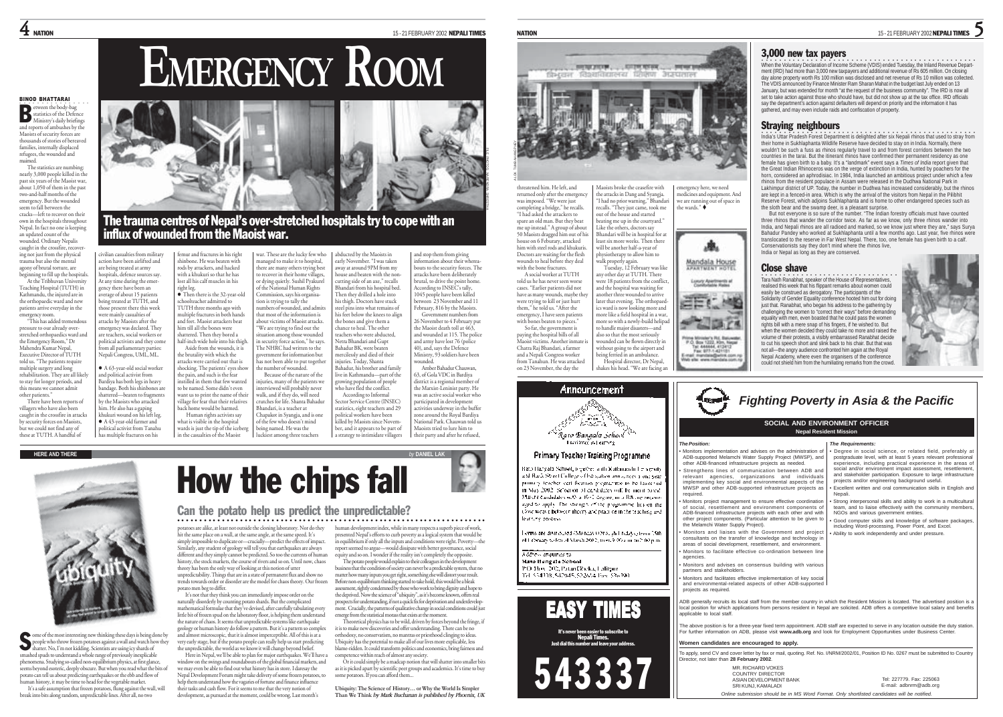## $\bf 4$  NATION 15-21 FEBRUARY 2002 NEPALI TIMES

○○○○○○○○○○○○○○○○ een the body-bag statistics of the Defence Ministry's daily briefings and reports of ambushes by the Maoists of security forces are thousands of stories of bereaved B

BINOD BHATTARAI

families, internally displaced refugees, the wounded and maimed. The statistics are numbing: nearly 3,000 people killed in the past six years of the Maoist war, about 1,050 of them in the past two-and-half months of the emergency. But the wounded seem to fall between the cracks—left to recover on their own in the hospitals throughout Nepal. In fact no one is keeping

an updated count of the wounded. Ordinary Nepalis caught in the crossfire, recover ing not just from the physical trauma but also the mental agony of brutal torture, are

beginning to fill up the hospitals At the Tribhuvan University Teaching Hospital (TUTH) in Kathmandu, the injured are in the orthopaedic ward and new patients arrive everyday in the<br>emergency mom emergency room. "This has added tremendous

pressure to our already overstretched orthopaedics ward and the Emergency Room," Dr Mahendra Kumar Nepal, Executive Director of TUTH told us. "The patients require multiple surgery and long rehabilitation. They are all likely to stay for longer periods, and this means we cannot admit other patients."

There have been reports of villagers who have also been caught in the crossfire in attacks by security forces on Maoists, but we could not find any of these at TUTH. A handful of

ne of the most interesting new thinking these days is being done by people who throw frozen potatoes against a wall and watch how they shatter. No, I'm not kidding. Scientists are using icy shards of smashed spuds to understand a whole range of previously inexplicable <sup>p</sup>henomena. Studying so-called non-equilibrium physics, at first glance, seems beyond esoteric, deeply obscure. But when you read what the bits of potato can tell us about predicting earthquakes or the ebb and flow of human history, it may be time to head for the vegetable market. It's a safe assumption that frozen potatoes, flung against the wall, will S

break into bits along random, unpredictable lines. After all, no two





The trauma centres of Nepal's over-stretched hospitals try to cope with an influx of wounded from the Maoist war.

managed to make it to hospital,

civilian casualties from military action have been airlifted and are being treated at army ne being treated at anny.<br>10spitals, defence sources say. At any time during the emergency there have been an <sub>2</sub>....<sub>7</sub> ...... nave occur an<br>werage of about 15 patients being treated at TUTH, and those present there this week were mainly casualties of attacks by Maoists after the emergency was declared. They are teachers, social workers or political activists and they come from all parliamentary parties: Nepali Congress, UML, ML.  $\bullet$  A 63-year-old social worker and political activist from Bardiya has both legs in heavy bandage. Both his shinbones are shattered—beaten to fragments by the Maoists who attacked him. He also has a gaping khukuri wound on his left leg. <sup>z</sup> A 43-year-old farmer and political activist from Tanahu has multiple fractures on his .<br>emur and fractures in his right shinbone. He was beaten with rods by attackers, and hacked with a khukuri so that he has lost all his calf muscles in his right leg. <sup>z</sup> Then there is the 32-year-old schoolteacher admitted to TUTH three months ago with multiple fractures in both hands and feet. Maoist attackers beat him till all the bones were hattered. Then they bored a half-inch wide hole into his thigh. Aside from the wounds, it is the brutality with which the attacks were carried out that is shocking. The patients' eyes show the pain, and such is the fear instilled in them that few wanted to be named. Some didn't even want us to print the name of thei village for fear that their relatives home would be harmed. Human rights activists say what is visible in the hospital wards is just the tip of the iceber in the casualties of the Maoist war. These are the lucky few who

there are many others trying best to recover in their home villages, or dying quietly. Sushil Pyakurel of the National Human Rights Commission, says his organisation is trying to tally the umbers of wounded, and admits that most of the information is about victims of Maoist attacks. "We are trying to find out the situation among those wounded in security force action," he says. The NHRC had written to the government for information but ,<br>ias not been able to put togethe the number of wounded. Because of the nature of the inries, many of the patients we interviewed will probably never walk, and if they do, will need crutches for life. Shanta Bahadur Bhandari, is a teacher at Chapakot in Syangja, and is one of the few who doesn't mind being named. He was the luckiest among three teachers away at around 9PM from my house and beaten with the noncutting side of an axe," recalls Bhandari from his hospital bed. Then they drilled a hole into his thigh. Doctors have stuck steel pins into what remains of his feet below the knees to align the bones and give them a chance to heal. The other eachers who were abducted, Netra Bhandari and Gupt Bahadur BK, were beaten mercilessly and died of their injuries. Today, Shanta Bahadur, his brother and family live in Kathmandu—part of the growing population of people who have fled the conflict. According to Informal Sector Service Centre (INSEC) statistics, eight teachers and 29 political workers have been killed by Maoists since November, and it appears to be part of a strategy to intimidate villagers

abducted by the Maoists in early November. "I was taken and stop them from giving  $information$  about their where bouts to the security forces. The attacks have been deliberately brutal, to drive the point home. According to INSEC's tally, 1045 people have been killed between 23 November and 11 February, 816 by the Maoists. Government numbers from 26 November to 4 February put the Maoist death toll at 463, and wounded at 115. The police and army have lost 76 (police 40), and, says the Defence Ministry, 93 soldiers have been wounded. Amber Bahadur Chauwan,

FILE PHOTOS: NARENDRA SHRESTHA

63, of Gola VDC in Bardiya district is a regional member of the Marxist-Leninist party. He was an active social worker who participated in development activities underway in the buffer zone around the Royal Bardiya National Park. Chauwan told us Maoists tried to lure him to their party and after he refused,



threatened him. He left, and returned only after the emergency was imposed. "We were just completing a bridge," he recalls. "I had asked the attackers to spare an old man. But they beat me up instead." A group of about 50 Maoists dragged him out of his house on 6 Feburary, attacked him with steel rods and khukuris. Doctors are waiting for the flesh wounds to heal before they deal with the bone fractures. A social worker at TUTH told us he has never seen worse cases. "Earlier patients did not have as many wounds, maybe the were trying to kill or just hurt them," he told us. "After the emergency, I have seen patients with bones beaten to pieces." So far, the government is paying the hospital bills of all Maoist victims. Another inmate is Chatra Raj Bhandari, a farmer and a Nepali Congress worker Maoists broke the ceasefire with the attacks in Dang and Syangja. "I had no prior warning," Bhandari recalls. "They just came, took me out of the house and started beating me up in the courtyard." Like the others, doctors say Bhandari will be in hospital for at east six more weeks. Then there will be another half-a-year of physiotherapy to allow him to walk properly again. Tuesday, 12 February was like any other day at TUTH. There vere 18 patients from the conflict and the hospital was waiting for another three wounded to arrive later that evening. The orthopaedics ward is now looking more and more like a field hospital in a war, more so with a newly-build helipad to handle major disasters—and also so that the most seriously wounded can be flown directly in without going to the airport and being ferried in an ambulance.



Hospital director, Dr Nepal,

### Primary Teacher Training Programme

.<br>Rato Hangala School, tegether auth Kuthmandu I e versits and Hard. Street Culleng of Introduced annualized a unit year. primary teacher cert fication pregramme to be launched. in May 2002, Selection of deplodates will be ment fossil-Marché Candidates with a 16-1 degree, in a BA and encouraged to apply. The strength of the programme lies on the Cove weave between theery and practice in the teaching and **Cattury Mission** 

Forms are distributed (Monday) Oriolah Fridays (from 15th) of February to Ritch March 2002, from 9:00 and in 2:00 pm.

### Address enquiries to **Nato Bangels School**

from Tanahun. He was attacked

190 Box 202, Patan Decka, Lalitsur Tel: \$54118, SENHA, \$22654 Tox \$36191.



It's never been easier to subscribe to Nepali Times. Just dial this number and leave your address.



5

## 3,000 new tax payers

over a book of the Voluntary Declaration of Income Scheme (VDIS) ended Tuesday, the Inland Revenue Department (IRD) had more than 3,000 new taxpayers and additional revenue of Rs 605 million. On closing day alone property worth Rs 100 million was disclosed and net revenue of Rs 10 million was collected The VDIS announced by Finance Minister Ram Sharan Mahat in the budget last July ended on 13 January, but was extended for month "at the request of the business community". The IRD is now all set to take action against those who should have, but did not show up at the tax office. IRD officials say the department's action against defaulters will depend on priority and the information it has gathered, and may even include raids and confiscation of property.

## Straying neighbours

•<br>India's Uttar Pradesh Forest Department is delighted after six Nepali rhinos that used to stray from their home in Sukhlaphanta Wildlife Reserve have decided to stay on in India. Normally, there wouldn't be such a fuss as rhinos regularly travel to and from forest corridors between the two countries in the tarai. But the itinerant rhinos have confirmed their permanent residency as one female has given birth to a baby. It's a "landmark" event says a *Times of India* report given that the Great Indian Rhinoceros was on the verge of extinction in India, hunted by poachers for the horn, considered an aphrodisiac. In 1984, India launched an ambitious project under which a few rhinos from the resident populace in Assam were released in the Dudhwa National Park in Lakhimpur district of UP. Today, the number in Dudhwa has increased considerably, but the rhinos are kept in a fenced-in area. Which is why the arrival of the visitors from Nepal in the Pilibhit Reserve Forest, which adjoins Sukhlaphanta and is home to other endangered species such as the sloth bear and the swamp deer, is a pleasant surprise.

But not everyone is so sure of the number. "The Indian forestry officials must have counted three rhinos that wander the corridor twice. As far as we know, only three rhinos wander into India, and Nepali rhinos are all radioed and marked, so we know just where they are," says Surya Bahadur Pandey who worked at Sukhlaphanta until a few months ago. Last year, five rhinos were translocated to the reserve in Far West Nepal. There, too, one female has given birth to a calf. Conservationists say they don't mind where the rhinos live, India or Nepal as long as they are conserved.

### Close shave

emergency here, we need medicines and equipment. And we are running out of space in the wards."  $\bullet$ 

Mandala House

Tel: 444444, 412412

**Capacity** 

·<br>Tara Nath Ranabhat, speaker of the House of Representatives, realised this week that his flippant remarks about women could easily be construed as derogatory. The participants of the Solidarity of Gender Equality conference hooted him out for doing just that. Ranabhat, who began his address to the gathering by challenging the women to "correct their ways" before demanding equality with men, even boasted that he could pass the women rights bill with a mere snap of his fingers, if he wished to. But when the women decided they could take no more and raised the volume of their protests, a visibly embarrassed Ranabhat decide to cut his speech short and slink back to his chair. But that was not all—the angry audience confronted him again at the Royal Nepal Academy, where even the organisers of the conference could not shield him from the humiliating remarks from the crowd.

*Fighting Poverty in Asia & the Pacific*



*The Position:* • Monitors implementation and advises on the administration of ADB-supported Melamchi Water Supply Project (MWSP), and other ADB-financed infrastructure projects as needed. Strengthens lines of communication between ADB and relevant agencies, organizations and individuals implementing key social and environmental aspects of the MWSP and other ADB-supported infrastructure projects as required. • Monitors project management to ensure effective coordination of social, resettlement and environment components of ADB-financed infrastructure projects with each other and with other project components. (Particular attention to be given to the Melamchi Water Supply Project). Monitors and liaises with the Government and project consultants on the transfer of knowledge and technology in areas of social development, resettlement, and environment. Monitors to facilitate effective co-ordination between line agencies. • Monitors and advises on consensus building with various partners and stakeholders. • Monitors and facilitates effective implementation of key social and environmental-related aspects of other ADB-supported *The Requirements:* • Degree in social science, or related field, preferably at posteraduate level, with at least 5 years relevant professional experience, including practical experience in the areas of social and/or environment impact assessment, resettlement and stakeholder participation. Exposure to large infrastructure projects and/or engineering background useful. • Excellent written and oral communication skills in English and Nepali. Strong interpersonal skills and ability to work in a multicultural team, and to liaise effectively with the community members, NGOs and various government entities. • Good computer skills and knowledge of software packages, including Word-processing, Power Point, and Excel. • Ability to work independently and under pressure. **SOCIAL AND ENVIRONMENT OFFICER Nepal Resident Mission**

ADB generally recruits its local staff from the member country in which the Resident Mission is located. The advertised position is a local position for which applications from persons resident in Nepal are solicited. ADB offers a competitive local salary and benefits applicable to local staff.

The above position is for a three-year fixed term appointment. ADB staff are expected to serve in any location outside the duty station. For further information on ADB, please visit **www.adb.org** and look for Employment Opportunities under Business Center.

### **Women candidates are encouraged to apply.**

MP. RICHARD VOKES COUNTRY DIRECTOR ASIAN DEVELOPMENT BANK SRI KUNJI, KAMALADI

projects as required.

To apply, send CV and cover letter by fax or mail, quoting. Ref. No. I/NRM/2002/01, Position ID No. 0267 must be submitted to Country Director, not later than **28 February 2002**.

> Tel: 227779. Fax: 225063 E-mail: adbnrm@adb.org

*Online submission should be in MS Word Format. Only shortlisted candidates will be notified.*



### Can the potato help us predict the unpredictable? ○○○○○○○○○○○○○○○○○○○○○○○○○○○○○○○○○○○○○○○○○○ ○○○○○○○○○○○○○○○○○○○○○○○○○○○

potatoes are alike, at least not outside the cloning laboratory. Nor do they hit the same place on a wall, at the same angle, at the same speed. It's simply impossible to duplicate or—crucially—predict the effects of impact. Similarly, any student of geology will tell you that earthquakes are always different and they simply cannot be predicted. So too the currents of human history, the stock markets, the course of rivers and so on. Until now, chaos theory has been the only way of looking at this notion of utter

unpredictability. Things that are in a state of permanent flux and show no trends towards order or disorder are the model for chaos theory. Our frozen potato men beg to differ. It's not that they think you can immediately impose order on the

naturally disorderly by counting potato shards. But the complicated mathematical formulae that they've devised, after carefully tabulating every little bit of frozen spud on the laboratory floor, is helping them understand the nature of chaos. It seems that unpredictable systems like earthquake geology or human history do follow a pattern. But it's a pattern so complex and almost microscopic, that it is almost imperceptible. All of this is at a very early stage, but if the potato people can really help us start predicting the unpredictable, the world as we know it will change beyond belief.

Here in Nepal, we'll be able to plan for major earthquakes. We'll have a window on the swings and roundabouts of the global financial markets, and we may even be able to find out what history has in store. I daresay the Nepal Development Forum might take delivery of some frozen potatoes, to help them understand how the vagaries of fortune and finance influence their tasks and cash flow. For it seems to me that the very notion of development, as pursued at the moment, could be wrong. Last month's

human development index, while in many respects a superb piece of work, presented Nepal's efforts to curb poverty as a logical system that would be in equilibrium if only all the inputs and conditions were right. Poverty—the report seemed to argue—would dissipate with better governance, social port seemed to tag...

The potato people would explain to their colleagues in the development business that the condition of society can never be a predictable system, that no matter how many inputs you get right, something else will distort your result. Before non-equilibrium thinking started to take hold, this would be a bleak assessment, rightly condemned by those who work to bring dignity and hope to the deprived. Now the science of "ubiquity", as it's become known, offers real prospects for understanding, if not a quick fix for deprivation and underdevelopment. Crucially, the patterns of qualitative change in social conditions could just emerge from the statistical morass that exists at the moment.

Theoretical physics has to be wild, driven by forces beyond the fringe, if it is to make new discoveries and offer understanding. There can be no orthodoxy, no conservatism, no mantras or priesthood clinging to ideas. Ubiquity has the potential to make all of our lives more explicable, less blame-ridden. It could transform politics and economics, bring fairness and competence within reach of almost any society.

Or it could simply be a madcap notion that will shatter into smaller bits as it is picked apart by scientific peer groups and academics. It's time to buy some potatoes. If you can afford them.

**Ubiquity: The Science of History… or Why the World Is Simpler Than We Think** *by Mark Buchanan is published by Phoenix, UK*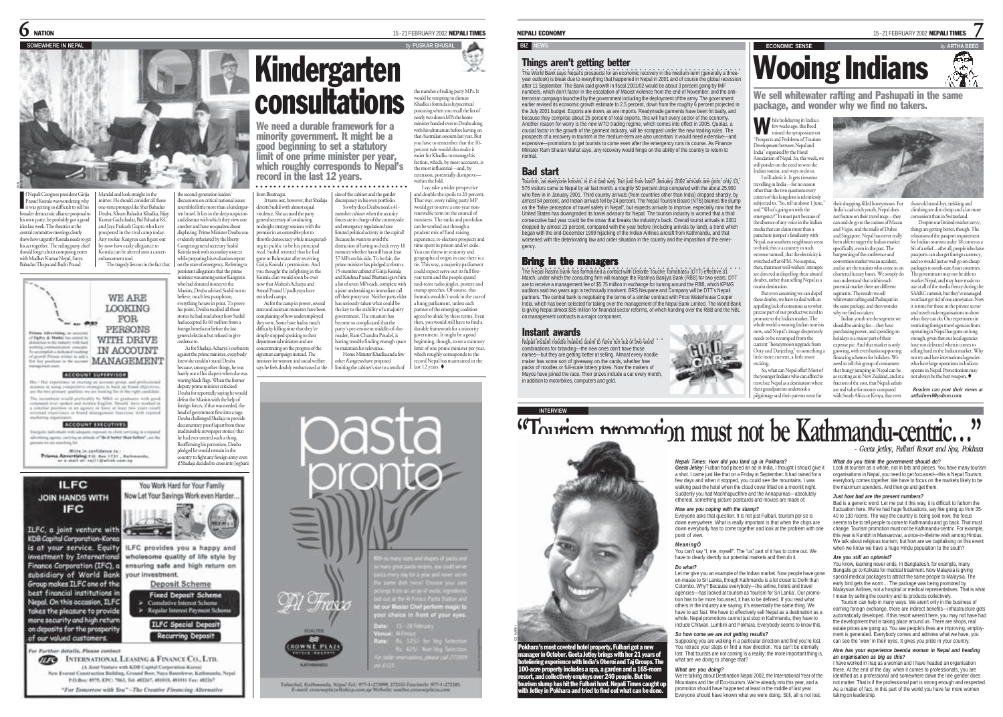**SOMEWHERE IN NEPAL** *by* **PUSKAR BHUSAL** BAJRACHARYA

> the second-generation leaders' discussions on critical national issues resembled little more than a kindergaren brawl. It lies in the deep suspicio and distrust with which they view one another and have no qualms about displaying. Prime Minister Deuba was evidently infuriated by the liberty Congress general secretary Sushil Koirala took with secondary sources while preparing his evaluation report on the state of emergency. Referring t persistent allegations that the prime .<br>minister was among senior Kangresis Who had donated money to the Maoists, Deuba advised Sushil not to believe, much less paraphrase, everything he saw in print. To prove his point, Deuba recalled all those stories he had read about how Sushil had accepted Rs 60 million from a foreign benefactor before the last general election but refused to give credence to.

waving black flags. When the former deputy prime minister criticised Deuba for reportedly saying he would defeat the Maoists with the help of foreign forces, if that was needed, the head of government flew into a rage. Deuba challenged Shailaja to provide documentary proof (apart from those inadmissible newspaper stories) that he had ever uttered such a thing. Reaffirming his patriotism, Deuba <sup>p</sup>ledged he would remain in the country to fight any foreign army even

f Nepali Congress president Girija Prasad Koirala was wondering why f Nepali Congress president Girija<br>Prasad Koirala was wondering why<br>it was getting so difficult to sell his broader democratic alliance proposal to his own party, he probably got a good idea last week. The theatrics at the central committee meetings clearly show how urgently Koirala needs to get his act together. The ruling party chief should forget about comparing notes with Madhav Kumar Nepal, Surya Bahadur Thapa and Badri Prasad Mandal and look straight in the mirror. He should consider all those one-time proteges like Sher Bahadur Deuba, Khum Bahadur Khadka, Bijay Kumar Gachchadar, Bal Bahadur KC and Jaya Prakash Gupta who have prospered in the rival camp today. v rookie Kangresi can figure ou now how easily allegiance to Koirala can be altered into a caree enhancement tool. The tragedy lies not in the fact that

**WE ARE LOOKING FOR**  $-0.07$ PERSONS Copiny & Market WITH DRIVE IN ACCOUNT *<u><u><b>Add a distant</u>ive</u>*</u> MANAGEMENT

### **ACCOUNT SUFERVISOR**

This I that experience to yearing an account group, and profossional<br>accounts in suing competitive strategies to back up beaut objectives<br>and the two primary spatifies we are looking for in the right condition combine would preferably by MRA as graduates with good and west update and written English, Hamild Javes worked in the poster section in an approximate of the property of the system of the system of the system of the syst a vimitar post

### **ACCOUNT EXECUTIVES**

advertising agency, carrying an attitude of "die it better than before", are the present the art statching to

Write in contidence to:<br>Prisons Apvertising AG: No. 1731 , Kathmonds<br>or a-most at rajitigurish.com.np



"For Tomorrow with You"-The Creative Financing Alternative

## consultations We need a durable framework for a minority government. It might be a good beginning to set a statutory limit of one prime minister per year, which roughly corresponds to Nepal's

from Biratnagar. size of the cabinet and the gender record in the last 12 years. ○○○○○○○○○○○○○○○○○○○○○○○○○○○○○○○○○○

Kindergarten

It turns out, however, that Shailaja detests Sushil with almost equal virulence. She accused the party neral secretary of conducting midnight strategy sessions with the premier in an ostensible plot to hrottle democracy while masquerad ing in public to be his principal rival. Sushil retorted that he had gone to Baluwatar after receiving Girija Koirala's permission. And you thought the infighting in the Koirala clan would soon be over now that Mahesh Acharya and Amod Prasad Upadhyaya have itched camps As for the camp in power, several state and assistant ministers have been complaining of how underemployed were. Some have had so much difficulty killing time that they've simply stopped speaking to their departmental ministers and are

signature campaign instead. The minister for women and social welfare says he feels doubly embarrassed at the As for Shailaja Acharya's outbur against the prime minister, everybody knew she couldn't stand Deuba because, among other things, he was barely out of his diapers when she was

centrating on the progress of the other Kangresis have proposed miting the cabinet's size to a tenth of

discrepancy in his own portfolio. So why does Deuba need a 41member cabinet when the security forces are in charge of the countryside and emergency regulations have limited political activity in the capital? Because he wants to avoid the distraction of having to check every 10 minutes whether has still has at least 57 MPs on his side. To be fair, the prime minister has pledged to form a 15-member cabinet if Girija Koirala and Krishna Prasad Bhattarai gave him a list of seven MPs each, complete with a joint undertaking to immediate call off their proxy war. Neither party elder has seriously taken what could be the key to the stability of a majority government. The situation has become so complicated that the party's pre-eminent middle-of-theroader, Ram Chandra Poudel, is having trouble finding enough space g trouwe main g.<br>intain his relevance. Home Minister Khadka and a few and double the spoils to 20 percent. That way, every ruling party MP would get to serve a one-year non-renewable term on the council of ministers. The ranks and portfolios can be worked out through a prudent mix of fund-raising experience, re-election prospects an the spent in prison and/or exile. You can throw in seniority and geographical origin in case there is a tie. This way, a majority parliament could expect serve out its full fiveyear term and the people spared mid-term radio jingles, posters and stump speeches. Of course, this formula wouldn't work in the case of a hung parliament, unless each partner of the emerging coalition agreed to abide by these terms. Even then, you would still have to find a durable framework for a minority government. It might be a good ginning, though, to set a statutor limit of one prime minister per year, which roughly corresponds to the

the number of ruling party MPs. It would be tempting to dismiss Khadka's formula as hypocritical posturing when you recall the list of nearly two dozen MPs the home minister handed over to Deuba along with his ultimatum before leaving on that Australian sojourn last year. But you have to remember that the 10 percent rule would also make it easier for Khadka to manage his faction, which, by most accounts, i the most influential—and, by extension, potentially disruptive within the fold. I say take a wider perspective

record Nepal has maintained in the last 12 years.

# Dasta OÆ  $T$ rasco chaice in front of your even **Marine Archive**

Tahachal, Kathmandy, Nepal Tel: 975-1-273998, 272533 Fascissile: 975-1-272393.

### NEPALI ECONOMY

### **BIZ** N

## **Things aren't getting better**<br>the World Bank says Nepal's prospects for an economy

The World Bank says Nepal's prospects for an economic recovery in the medium-term (generally a threeyear outlook) is bleak due to everything that happened in Nepal in 2001 and of course the global recession and the parties of the global recession and the parties of the global recession and the parties of the global reces after 11 September. The Bank said growth in fiscal 2001/02 would be about 3 percent going by IMF numbers, which don't factor in the escalation of Maoist violence from the end of November, and the anti-terrorism campaign launched by the government including the deployment of the army. The government earlier revised its economic growth estimate to 2.5 percent, down from the roughly 6 percent projected in the July 2001 budget. Exports are down, as are imports. Readymade garments have been hit badly, and because they comprise about 25 percent of total exports, this will hurt every sector of the economy. Another reason for worry is the new WTO trading regime, which comes into effect in 2005. Quotas, a crucial factor in the growth of the garment industry, will be scrapped under the new trading rules. The prospects of a recovery in tourism in the medium-term are also uncertain: it would need extensive—and expensive—promotions to get tourists to come even after the emergency runs its course. As Finance Minister Ram Sharan Mahat says, any recovery would hinge on the ability of the country to return to normal.

### Bad start

Tourism, as everyone knows, is in a bad way. But just how bad? January 2002 arrivals are grim: only 13, 576 visitors came to Nepal by air last month, a roughly 50 percent drop compared with the about 25,900 who flew in in January 2001. Third country arrivals (from countries other than India) dropped sharply, by almost 54 percent, and Indian arrivals fell by 24 percent. The Nepal Tourism Board (NTB) blames the slump on the "false perception of travel safety in Nepal", but expects arrivals to improve, especially now that the United States has downgraded its travel advisory for Nepal. The tourism industry is worried that a third consecutive bad year could be the straw that breaks the industry's back. Overall tourist arrivals in 2001 dropped by almost 23 percent, compared with the year before (including arrivals by land), a trend which began with the end-December 1999 hijacking of the Indian Airlines aircraft from Kathmandu, and that worsened with the deteriorating law and order situation in the country and the imposition of the emergency.

### Bring in the managers

.<br>The Nepal Rastra Bank has formalised a contact with Deloitte Touche Tomahatsu (DTT) effective 31<br>March, under which the consulting firm will manage the Rastriya Banijya Bank (RBB) for two years. DTT are to receive a management fee of \$5.75 million in exchange for turning around the RBB, which KPMG auditors said two years ago is technically insolvent. BRS Neupane and Company will be DTT's Nepali partners. The central bank is negotiating the terms of a similar contract with Price Waterhouse Cooper India, which has been selected for taking over the management of the Nepal Bank Limited. The World Ban is giving Nepal almost \$35 million for financial sector reforms, of which handing over the RBB and the NBL on management contracts is a major component.

### Instant awards

**INTERVIEW**

CS KARKI

Nepali instant noodle makers seem to have run out of two-word combinations for branding—the new ones don't have those names—but they are getting better at selling. Almost every noodle maker has some sort of giveaway on the cards, whether free packs of noodles or full-scale lottery prizes. Now the makers of Mayos have joined the race. Their prizes include a car every month, in addition to motorbikes, computers and gold.



# **ECONOMIC SENSE** Wooing Indians

We sell whitewater rafting and Pashupati in the same package, and wonder why we find no takers.

hile holidaying in India a few weeks ago, this Beed missed the symposium on W "Prospects and Problems of Tourism Development between Nepal and India" organised by the Hotel Association of Nepal. So, this week, we will ponder on the need to woo the Indian tourist, and ways to do so. I will admit it. It gets tiresome travelling in India—for no reason other than the two questions every

citizen of this kingdom is relentlessly subjected to. "So, tell us about 1 June," and "What's going on with the emergency?" In most part because of the absence of any voice in the Indian media that can claim more than a parachute jumper's familiarity with Nepal, our southern neighbours seem to think this is a country in such extreme turmoil, that the electricity is switched off at 6PM. No surprise, then, that most well-wishers' attempts are directed at dispelling these absurd doubts, rather than selling Nepal as a urist destination.

But even assuming we can dispel hese doubts, we have to deal with an appalling lack of consensus as to what cise part of our product we need to promote to the Indian market. The whole world is wooing Indian tourists now, and Nepal's image desperately needs to be revamped from the current "honeymoon upgrade from Ooty and Darjeeling" to something a

little more current, a little more So, what can Nepal offer? Most of he younger Indians who can afford to travel see Nepal as a destination where their grandparents undertook a <sup>p</sup>ilgrimage and their parents went for

15 - 21 FEBRUARY 2002 NEPALI TIMES

7

بزينها

their shopping-filled honeymoon. For India's cash-rich youth, Nepal does not feature on their travel map—they can and do go to the casinos of Macau and Vegas, and the malls of Dubai and Singapore. Nepal has never really been able to target the Indian market specifically, even in the past. The burgeoning of the conference and convention market was an accident, and so are the tourists who come in on chartered luxury buses. We simply do not understand that within each potential market there are different segments. The result: we sell those old stand-bys, trekking and climbing are dirt-cheap and a lot mo convenient than in Switzerland. Despite our limited market savy

whitewater rafting and Pashupati in the same package, and then wonder why we find no takers Indian youth are the segment we should be aiming for—they have

purchasing power, and spending or holidays is a major part of their expense pie. And that market is only growing, with even banks supporting<br>financing schemes for bolidays We financing schemes for holidays. We need to tell this group of consumers that bungy jumping in Nepal can be as exciting as in New Zealand, and at a fraction of the cost, that Nepali safaris

are real value for money compared with South Africa or Kenya, that even

things are getting better, though. The relaxation of the passport requirement for Indian tourists under 18 comes as a bit of a relief—after all, people who have passports can also get foreign currency, and so would just as well go on cheap packages to south-east Asian countries The government may not be able to market Nepal, and may have made no use at all of the media frenzy during th SAARC summit, but they've managed to at least get rid of one annoyance. Now

it is time for those in the private sector and travel trade organisations to show what they can do. Our experiment in restricting foreign travel agencies from operating in Nepal has gone on long enough, given that our local agencies have not delivered when it comes to selling hard in the Indian market. Why not try and lure international agencies who have large operations in India to operate in Nepal. Protectionism may

not always be the best weapon.  *Readers can post their views at arthabeed@yahoo.com*



Pokhara's most coveted hotel property, Fulbari got a new manager in October. Geeta Jetley brings with her 21 years of 100-acre property includes a spa, a garden and a 165-room<br>resort, and collectively employs over 240 people. But the<br>tourism slump has hit the Fulbari hard. Nepali Times caught up<br>with Jetley in Pokhara and tried to find ou

*Nepali Times: How did you land up in Pokhara? Geeta Jetley:* Fulbari had placed an ad in India, I thought I should give it a shot. I came just like that on a Friday in September. It had rained for a few days and when it stopped, you could see the mountains. I was walking past the hotel when the cloud cover lifted on a moonlit night. Suddenly you had Machhapuchhre and the Annapurnas—absolutely ethereal, something picture postcards and movies are made of.

exciting.

### *How are you coping with the slump?*

Everyone asks that question. It is not just Fulbari, tourism per se is down everywhere. What is really important is that when the chips are down everybody has to come together and look at the problem with one point of view.

### *MeaningÖ*

You can't say "I, me, myself". The "us" part of it has to come out. We have to clearly identify our potential markets and then do it.

### *Do what?*

Let me give you an example of the Indian market. Now people have gone en-masse to Sri Lanka, though Kathmandu is a lot closer to Delhi than Colombo. Why? Because everybody—the airline, hotels and travel agencies—has looked at tourism as 'tourism for Sri Lanka'. Our promotion has to be more focussed, it has to be defined. If you read what others in the industry are saying, it's essentially the same thing. We have to act fast. We have to effectively sell Nepal as a destination as a whole. Nepal promotions cannot just stop in Kathmandu, they have to include Chitwan, Lumbini and Pokhara. Everybody seems to know this.

### *So how come we are not getting results?*

Supposing you are walking in a particular direction and find you're lost. You retrace your steps or find a new direction. You can't be eternally lost. That tourists are not coming is a reality: the more important thing is, what are we doing to change that?

### *What are you doing?*

We're talking about Destination Nepal 2002, the International Year of the Mountains and the of Eco-tourism. We're already into this year, and a promotion should have happened at least in the middle of last year. Everyone should have known what we were doing. Still, all is not lost.

Look at tourism as a whole, not in bits and pieces. You have many tourism organisations in Nepal, you need to get focussed—this is Nepal Tourism, everybody comes together. We have to focus on the markets likely to be the maximum spenders. And then go and get them. *Just how bad are the present numbers?* Bad is a generic word. Let me put it this way, it is difficult to fathom the

*What do you think the government should do?*

fluctuation here. We've had huge fluctuations, say like going up from 35-40 to 130 rooms. The way the country is being sold now, the focus seems to be to tell people to come to Kathmandu and go back. That must change. Tourism promotion must not be Kathmandu-centric. For example, this year is Kumbh in Mansarovar, a once-in-lifetime wish among Hindus. We talk about religious tourism, but how are we capitalising on this even when we know we have a huge Hindu population to the south?

### *Are you still an optimist?*

You know, learning never ends. In Bangladesh, for example, many Bengalis go to Kolkata for medical treatment. Now Malaysia is giving special medical packages to attract the same people to Malaysia. The early bird gets the worm... The package was being promoted by Malaysian Airlines, not a hospital or medical representatives. That is what I mean by selling the country and its products collectively.

Tourism can help in many ways. We aren't only in the business of earning foreign exchange, there are indirect benefits-infrastructure get automatically developed. If this resort weren't here, you may not have had the development that is taking place around us. There are shops, real estate prices are going up. You see people's lives are improving, employ ment is generated. Everybody comes and admires what we have, you can see the 'wow' in their eyes. It gives you pride in your country.

### *How has your experience beenóa woman in Nepal and heading an organisation as big as this?*

I have worked in Iraq as a woman and I have headed an organisation there. At the end of the day, when it comes to professionals, you are identified as a professional and somewhere down the line gender does not matter. That is if the professional part is strong enough and respected. As a matter of fact, in this part of the world you have far more women taking on leadership.

**"Tourism promotion must not be Kathmandu-centric..."** 



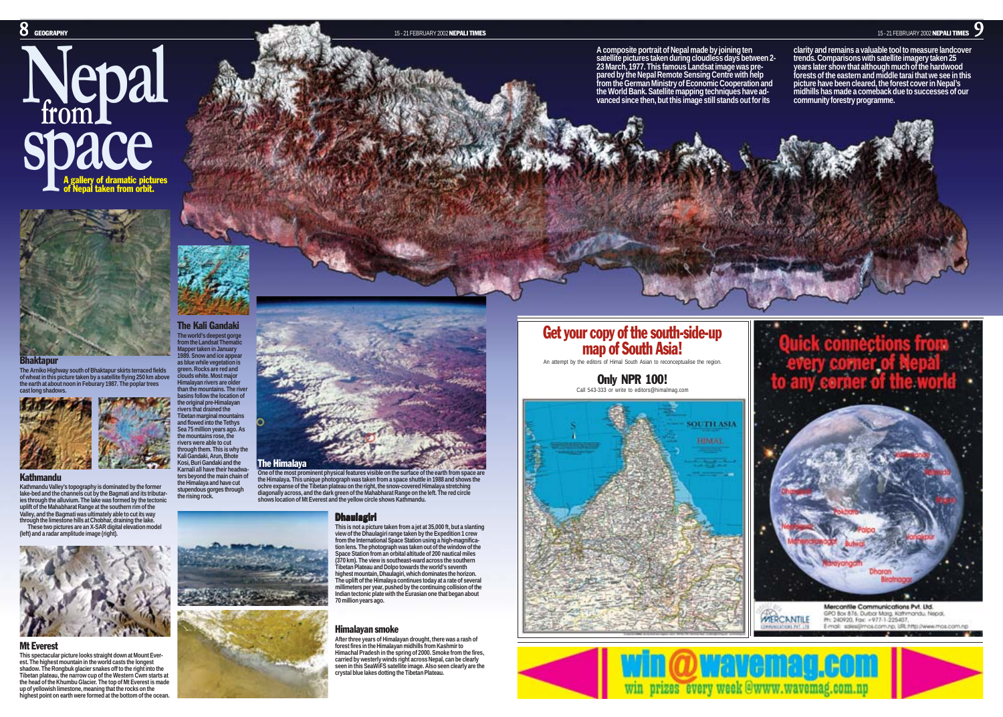



The Kali Gandaki **The world's deepest gorge from the Landsat Thematic Mapper taken in January 1989. Snow and ice appear as blue while vegetation is green. Rocks are red and clouds white. Most major Himalayan rivers are older**

**the original pre-Himalayan rivers that drained the**

**the mountains rose, the rivers were able to cut**

**Kali Gandaki, Arun, Bhote Kosi, Buri Gandaki and the**

**the Himalaya and have cut stupendous gorges through the rising rock.**

The Arniko Highway south of Bhaktapur skirts terraced fields<br>of wheat in this picture taken by a satellite flying 250 km above<br>the earth at about noon in Feburary 1987. The poplar trees<br>cast long shadows.



### Kathmandu

**Kathmandu Valley's topography is dominated by the former lake-bed and the channels cut by the Bagmati and its tributar-ies through the alluvium. The lake was formed by the tectonic uplift of the Mahabharat Range at the southern rim of the Valley, and the Bagmati was ultimately able to cut its way through the limestone hills at Chobhar, draining the lake. These two pictures are an X-SAR digital elevation model (left) and a radar amplitude image (right).**



### Mt Everest

**This spectacular picture looks straight down at Mount Everest. The highest mountain in the world casts the longest shadow. The Rongbuk glacier snakes off to the right into the Tibetan plateau, the narrow cup of the Western Cwm starts at the head of the Khumbu Glacier. The top of Mt Everest is made up of yellowish limestone, meaning that the rocks on the highest point on earth were formed at the bottom of the ocean.**



One of the most prominent physical features visible on the surface of the earth from space are<br>the Himalaya. This unique photograph was taken from a space shuttle in 1988 and shows the<br>ochre expanse of the Tibetan plateau

## **Dhaulagiri**

This is not a picture taken from a jet at 35,000 ft, but a slanting<br>view of the Dhaulagiri range taken by the Expedition 1 crew<br>from the International Space Station using a high-magnifica-<br>tion lens. The photograph was tak **Space Station from an orbital altitude of 200 nautical miles (370 km). The view is southeast-ward across the southern Tibetan Plateau and Dolpo towards the world's seventh highest mountain, Dhaulagiri, which dominates the horizon. The uplift of the Himalaya continues today at a rate of several millimeters per year, pushed by the continuing collision of the Indian tectonic plate with the Eurasian one that began about 70 million years ago.**

## Himalayan smoke

**After three years of Himalayan drought, there was a rash of forest fires in the Himalayan midhills from Kashmir to Himachal Pradesh in the spring of 2000. Smoke from the fires, carried by westerly winds right across Nepal, can be clearly seen in this SeaWiFS satellite image. Also seen clearly are the crystal blue lakes dotting the Tibetan Plateau.**

A composite portrait of Nepal made by joining ten<br>
statellite pictures taken during cloudless days between 2-<br>
statellite pictures taken during cloudless days be the and contained and contained the magnety taken 25<br>
23 Ma



# Get your copy of the south-side-up map of South Asia! An attempt by the editors of Himal South Asian to reconceptualise the region.

Only NPR 100!







Mercantile Communications Pvt. Ltd. GPO Box 876, Durbar Marg, Kathmandu, Nepal, WERCANTILE Ph: 240920, Fax: +977-1-225407, E-molt: solesilimos.com.np. URL:http://www.mos.com.np

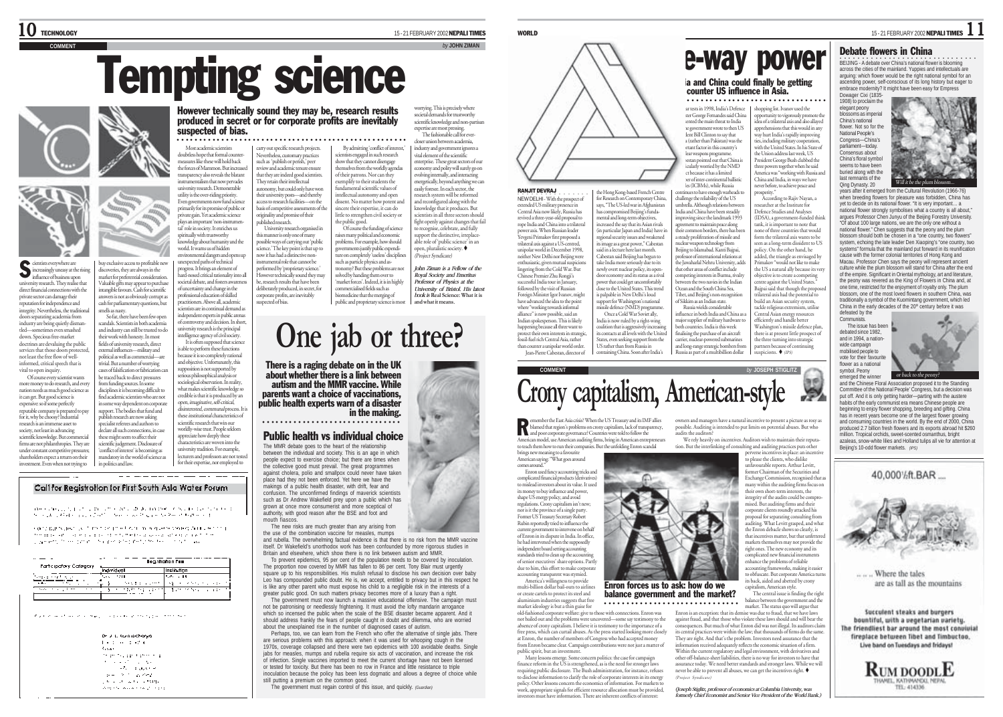cientists everywhere are icreasingly uneasy at the rising influence of business upon university research. They realise that direct financial connections with the private sector can damage their reputation for independence and integrity. Nevertheless, the traditional doors separating academia from industry are being quietly dismantled—sometimes even smashed down. Specious free-market doctrines are devaluing the public services that those doors protected not least the free flow of wellinformed, critical speech that is vital to open inquiry. Of course every scientist wants more money to do research, and every nation needs as much good science as it can get. But good science is expensive: so if some perfectly reputable company is prepared to pay for it, why be choosy? Industrial research is an immense asset to society, not least in advancing scientific knowledge. But comme firms are not philanthropies. They are under constant competitive pressures; shareholders expect a return on their investment. Even when not trying to

S

# Tempting science

**COMMENT** *by* **JOHN ZIMAN**

However technically sound they may be, research results produced in secret or for corporate profits are inevitably suspected of bias.

Most academic scientists doubtless hope that formal count measures like these will hold back the forces of Mammon. But increased transparency also reveals the blatant instrumentalism that now pervades university research. Demonstrable utility is the over-riding priority. Even governments now fund science primarily for its promise of public or private gain. Yet academic science

plays an important 'non-instrumental' role in society. It enriches us spiritually with trustworthy knowledge about humanity and the world. It warns us of hidden environmental dangers and opens up

buy exclusive access to profitable new discoveries, they are always in the market for preferential consideration. Valuable gifts may appear to purchase intangible favours. Cash for scientific answers is not as obviously corrupt as cash for parliamentary questions, but So far, there have been few open scandals. Scientists in both academia and industry can still be trusted to do their work with honesty. In most fields of university research, direct external influences—military and political as well as commercial—are trivial. But a number of worrying cases of falsification or fabrication can unexpected paths of technical progress. It brings an element of hard-nosed critical rationality into all societal debate, and fosters awareness of uncertainty and change in the professional education of skilled practitioners. Above all, academic scientists are in continual demand as independent experts in public arenas controversy and decision. In short university research is the principal intelligence agency of civil society. It is often supposed that science s able to perform these functions because it is so completely rational and objective. Unfortunately, this upposition is not supported by serious philosophical analysis or sociological observation. In reality,

e traced back to direct pressures from funding sources. In some disciplines it is becoming difficult to find academic scientists who are not in some way dependent on corporate support. The bodies that fund and publish research are now asking specialist referees and authors to declare all such connections, in case these might seem to affect their scientific judgement. Disclosure of 'conflict of interest' is becoming as mandatory in the world of science as what makes scientific knowledge so credible is that it is produced by an open, imaginative, self-critical, disinterested, communal process. It is these *institutional* characteristics of scientific research that win our worldly-wise trust. People seldom appreciate how deeply these characteristics are woven into the university tradition. For example, lecturers and professors are not tested for their expertise, nor employed to

\_\_\_\_\_\_\_\_\_\_\_\_\_\_

Call for Registration for First South Asia Water Forum

in politics and law.

mells as nasty.

where  $\alpha$  is  $\mu_{\alpha}$  by  $\mu_{\alpha}$  is a strict of the state of the final state of the state of the state of the state of the final state of the state of the state of the state of the state of the state of the state of the

contradicts also used the concentration of which are also seeking Automatic to the the mass of course and a second entirements and could attack a second second programmers, the same power of the programmer programmers and the same programmers of the same

| <br>Fart cipatory Category                     | <br><b>Legationon fox</b>          |                              |  |
|------------------------------------------------|------------------------------------|------------------------------|--|
|                                                |                                    | <b>Incidetion</b>            |  |
| and the                                        | 12.11<br>$\sim$                    | lava in 19                   |  |
| - 17                                           | <b>Section admits</b>              | and the company of the<br>sh |  |
| 1.11<br>$\overline{\phantom{a}}$<br><br>$\sim$ | . <b>n</b><br><b>A Right River</b> | The Control of Control       |  |
|                                                |                                    |                              |  |

of galaxy and the service paper as passed general power concerns.

Dr. J. L. Romachone discountered at **SOM** the product and a strategic and the service of the control Contractor of the second  $\mathbf{p} = -\mathbf{V}^{-1} - \mathbf{p} \mathbf{z}^T \sigma \mathbf{J}$ the country with a company West Consumer Section 2021

By admitting 'conflict of interest,' ○○○○○○○○○○○○○○○○○○○○○○○○○○○○○○○○○○○○○○○○○○○○○○○○○○○○

carry out specific research projects. Nevertheless, customary practices such as 'publish or perish,' peer review and academic tenure ensure that they are indeed good scientists. They retain their intellectual autonomy, but could only have won their university posts—and thereby access to research facilities—on the basis of competitive assessments of the originality and promise of their published research.

University research organised in this manner is only one of many possible ways of carrying out 'public science.' The key point is that up to now it has had a distinctive noninstrumental role that cannot be performed by 'proprietary science.' However technically sound they may be, research results that have been deliberately produced, in secret, for the public good. Of course the funding of science raises many political and economic problems. For example, how should governments justify public expenditure on completely 'useless' discipline such as particle physics and astronomy? But these problems are not solved by handing them over to 'market forces'. Indeed, it is in highly commercialised fields such as

corporate profits, are inevitably suspected of bias. biomedicine that the merging of public and proprietary science is most

societal demands for trustworthy scientific knowledge and non-partisan expertise are most p The fashionable call for evercloser union between academia, industry and government ignores a

worrying. This is precisely where

show that they cannot disengage themselves from the worldly agendas dissent. No matter how potent and vital element of the scientific nterprise. These great sectors of our economy and polity will surely go on evolving internally, and interacting energetically, beyond anything we can easily foresee. In each sector, the research system will be reformed and reconfigured along with the knowledge that it produces. But scientists in all three sectors should fight openly against changes that fail *recognise*, celebrate, and fully support the distinctive, irreplace-able role of 'public science' in an open, pluralistic society. (Project Syndicate) *John Ziman is a Fellow of the Royal Society and Emeritus*

*Professor of Physics at the University of Bristol. His latest book is* **Real Science: What it is and what it means***.*

 $\tau_{\rm w}$ 

# **One jab or three?**

scientists engaged in such research

of their patrons. Nor can they exemplify to their students the fundamental scientific values of intellectual autonomy and open

sincere their expertise, it can do little to strengthen civil society or

There is a raging debate on in the UK about whether there is a link between autism and the MMR vaccine. While parents want a choice of vaccinations, public health experts warn of a disaster in the making. ○○○○○○○○○○○○○○○○○○○○○○○○○○○○○○○

### Public health vs individual choice

The MMR debate goes to the heart of the relationship between the individual and society. This is an age in which people expect to exercise choice; but there are times when the collective good must prevail. The great programmes against cholera, polio and smallpox could never have taken place had they not been enforced. Yet here we have the makings of a public health disaster, with drift, fear and confusion. The unconfirmed findings of maverick scientists such as Dr Andrew Wakefield prey upon a public which has grown at once more consumerist and more sceptical of authority, with good reason after the BSE and foot and mouth fiascos.

The new risks are much greater than any arising from the use of the combination vaccine for measles, mumps

and rubella. The overwhelming factual evidence is that there is no risk from the MMR vaccine itself. Dr Wakefield's unorthodox work has been confounded by more rigorous studies in Britain and elsewhere, which show there is no link between autism and MMR. To prevent epidemics, 95 per cent of the population needs to be covered by inoculation.

The proportion now covered by MMR has fallen to 86 per cent. Tony Blair must urgently square up to his responsibilities. His mulish refusal to disclose his own decision over baby Leo has compounded public doubt. He is, we accept, entitled to privacy but in this respect he is like any other parent who must expose his child to a negligible risk in the interests of a greater public good. On such matters privacy becomes more of a luxury than a right. The government must now launch a massive educational offensive. The campaign must

not be patronising or needlessly frightening. It must avoid the lofty mandarin arrogance which so incensed the public when the scale of the BSE disaster became apparent. And it should address frankly the fears of people caught in doubt and dilemma, who are worried

about the unexplained rise in the number of diagnosed cases of autism. Perhaps, too, we can learn from the French who offer the alternative of single jabs. There are serious problems with this approach: when it was used for whooping cough in the 1970s, coverage collapsed and there were two epidemics with 100 avoidable deaths. Single jabs for measles, mumps and rubella require six acts of vaccination, and increase the risk of infection. Single vaccines imported to meet the current shortage have not been licensed or tested for toxicity. But there has been no row in France and little resistance to triple inoculation because the policy has been less dogmatic and allows a degree of choice while still putting a premium on the common good.

The government must regain control of this issue, and quickly. *(Guardian)*



### RANJIT DEVRAJ •<br>NEW DELHI - With the prospect of extended US military pre

Central Asia now likely, Russia has revived a three-year-old proposal to ropredature year our proposario<br>mne India and China into a trilatera .<br>wer axis. When Russian leader. Yevgeni Primakov first proposed a protect their own interests in strategic, fossil-fuel rich Central Asia, rather than counter a unipolar world order. regional security issues and weakened its image as a great power," Cabestan said in a lecture here last month. Cabestan said Beijing has begun to take India more seriously due to its newly overt nuclear policy, its opendoor economy and its status as a rival power that could get uncomfortably close to the United States. This trend is palpable in New Delhi's loud support for Washington's national missile defence (NMD) programme. Once a Cold War Soviet ally, India is now ruled by a right-wing coalition that is aggressively

Jean-Pierre Cabestan, director of its contacts at all levels with the United States, even seeking support from the US rather than from Russia in containing China. Soon after India's

# **COMMENT by** JOSEPH STIGLITZ **Crony capitalism, American-style**

**Example 1** the East Asia crisis? When the US Treasury and its IMF allies<br>blamed that region's problems on crony capitalism, lack of transparency,<br>and poor corporate governance? Countries were told to follow the American model, use American auditing firms, bring in American entrepreneurs to teach them how to run their companies. But the unfolding Enron scandal

brings new meaning to a favourite American saying: "What goes around comes around."

Enron used fancy accounting tricks and complicated financial products (derivatives) to mislead investors about its value. It used its money to buy influence and power, shape US energy policy, and avoid regulations. Crony capitalism isn't new nor is it the province of a single party. Former US Treasury Secretary Robert Rubin reportedly tried to influence the current government to intervene on behalf of Enron in its dispute in India. In office, he had intervened when the supposedly<br>independent board setting accounting independent board setting acco standards tried to clean up the accounting of senior executives' share options. Partly due to him, this effort to make corporate accounting transparent was stymied.

America's willingness to provide multi-billion dollar bail-outs to airlines or create cartels to protect its steel and aluminium industries suggests that free market ideology is but a thin guise for Enron forces us to ask: how do we balance government and the market? ○○○○○○○○○○○○○○○○○○○○○○○○○○○○

old-fashioned corporate welfare: give to those with connections. Enron was not bailed out and the problems were uncovered—some say testimony to the absence of crony capitalism. I believe it is testimony to the importance of a free press, which can curtail abuses. As the press started looking more closely at Enron, the number of members of Congress who had accepted money from Enron became clear. Campaign contributions were not just a matter of public spirit, but an investment.

Many lessons emerge. Some concern politics: the case for campaign finance reform in the US is strengthened, as is the need for stronger la requiring public disclosure. The Bush administration, for instance, refuses to disclose information to clarify the role of corporate interests in its energy policy. Other lessons concern the economics of information. For markets to work, appropriate signals for efficient resource allocation must be provided, investors must have information. There are inherent conflicts of interest: owners and managers have a natural incentive to present a picture as rosy as

possible. Auditing is intended to put limits on potential abuses. But who audits the auditors?

e-way power a and China could finally be getting counter US influence in Asia.

○○○○○○○○○○○○○○○○○○○○○○○○○○○○○ ○○○○○○○○○○○

rosperity.

opportunity to vigorously promote the idea of a trilateral axis and also allayed

(IDSA), a government-funded think tank, it is important to note that none of three countries that would form the trilateral axis wants to be een as a long-term dissident to US policy. On the other hand, he dded, the triangle as envisaged by Primakov "would not like to make the US a natural ally because its very objective is to create a competing centre against the United States." Bajpai said that though the propo trilateral axis had the potential to build an Asian security system, tackle religious extremism, utilise Central Asian energy resources efficiently and handle better Washington's missile defence plan, there is at present little prospect of the three turning into strategic partners because of continuing suspicions.  $\bullet$  (IPS)

ar tests in 1998, India's Defence | shopping list. Ivanov used the

Minister George Fernandes said China referred the main threat to India e government wrote to then US e government .....<br>ent Bill Clinton to say that (rather than Pakistan) was the rtant factor in this country's nuclear weapons programme. estan pointed out that China is particularly worried by the NMD project because it has a limited er of inter-continental ballisti es (ICBMs), while Russia continues to have enough warheads to challenge the reliability of the US umbrella. Although relations between India and China have been steadily mproving since the landmark 1993 nent to maintain peace along heir common borders, there has bee a steady proliferation of missile and nuclear weapon technology from Beijing to Islamabad. Kanti Bajpai, professor of international relations at the Jawaharlal Nehru University, adds that other areas of conflict include ompeting interests in Burma, rivalry between the two navies in the Indian Ocean and the South China Sea, Tibet, and Beijing's non-recognition of Sikkim as an Indian state. Russia wields considerable influence in both India and China as a major supplier of military hardware to both countries. India is this week finalising the purchase of an aircraft carrier, nuclear-powered submarines and long-range strategic bombers from Russia as part of a multibillion dollar

We rely heavily on *incentives*. Auditors wish to maintain their reputa-

to please the clients, who dislike unfavourable reports. Arthur Levitt, their own short-term interests, the mised. But auditing firms and their corporate clients roundly attacked his auditing. What Levitt grasped, and what<br>the Enron debacle shows so clearly, is the Enron debacle shows so clearly, is that incentives matter, but that unfettered

perverse incentives in place: an incentive former Chairman of the Securities and Exchange Commission, recognised that as many within the auditing firms focus on integrity of the audits could be comproproposal for separating consulting from

tion. But the interlinking of consulting and auditing practices puts other

markets themselves may not provide the right ones. The new economy and its complicated new financial instruments enhance the problems of reliable accounting frameworks, making it easier to obfuscate. But corporate America tun its back, aided and abetted by crony

capitalism, American style The central issue is finding the right balance between the government and the

market. The status quo will argue that Enron is an exception: that its demise was due to fraud, that we have laws against fraud, and that those who violate these laws should and will bear the consequences. But much of what Enron did was not illegal. Its auditors claim its central practices were within the law; that thousands of firms do the same. They are right. And that's the problem. Investors need assurance that the information received adequately reflects the economic situation of a firm. Within the current regulatory and legal environment, with derivatives and other off-balance-sheet liabilities, there is no way for investors to have that assurance today. We need better standards and stronger laws. While we will never be able to prevent all abuses, we can get the incentives right. (Project Syndicate)

*(Joseph Stiglitz, professor of economics at Columbia University, was formerly Chief Economist and Senior Vice President of the World Bank.)*



when breeding flowers for pleasure was forbidden. China has yet to decide on its national flower. "It is very important… a national flower strongly symbolises what a country is all about," argues Professor Chen Junyu of the Beijing Forestry University. "Of about 100 large nations, we are the only one without a national flower." Chen suggests that the peony and the plum blossom should both be chosen in a "one country, two flowers" system, echoing the late leader Den Xiaoping's "one country, two systems" formula that the mainland put forward in its reunification cause with the former colonial territories of Hong Kong and Macau. Professor Chen says the peony will represent ancient culture while the plum blossom will stand for China after the end of the empire. Significant in Oriental mythology, art and literature, the peony was revered as the King of Flowers in China and, at one time, restricted for the enjoyment of royalty only. The plum blossom, one of the most loved flowers in southern China, was traditionally a symbol of the Kuomintang government, which led China in the early decades of the 20<sup>th</sup> century before it was defeated by the Communists.







Where the tales are as tall as the mountains

Succulent steaks and burgers bountiful, with a vegetarian variety. The friendliest bar around the most convivial fireplace between libet and limbuctoo. Live band on Tuesdays and fridays!



WORLD 15-21 FEBRUARY 2002 NEPALI TIMES  $11$ 

•<br>BEIJING - A debate over China's national flower is blooming across the cities of the mainland. Yuppies and intellectuals are arguing: which flower would be the right national symbol for an ascending power, self-conscious of its long history but eager to embrace modernity? It might have been easy for Empress

1908) to proclaim the elegant peony blossoms as imp China's national flower. Not so for the National People's Congress—China's parliament—today. Consensus about China's floral symbol seems to have been buried along with the last remnants of the Qing Dynasty. 20

symbol. Peony

 $\rightarrow$ 

apprehensions that this would in any way hurt India's rapidly improving ties, including military cooperation with the United States. In his State of the Union address last week, US President George Bush clubbed the three powers together when he said America was "working with Russia and China and India, in ways we have never before, to achieve peace and According to Rajiv Nayan, a researcher at the Institute for Defence Studies and Analyses

the Hong Kong-based French Centre for Research on Contemporary China ays, "The US-led war in Afghanista has compromised Beijing's fundamental and long-term objectives, increased the say that its Asian rivals (in particular Japan and India) have in

trilateral axis against a US-centred, unipolar world in December 1998, neither New Delhi nor Beijing were enthusiastic, given mutual suspicions lingering from the Cold War. But Chinese Premier Zhu Rongji's successful India tour in Ia followed by the visit of Russian Foreign Minister Igor Ivanov, might have advanced the idea to the point where "working towards informal alliance" is now possible, said an Indian spokesperson. This is likely happening because all three want to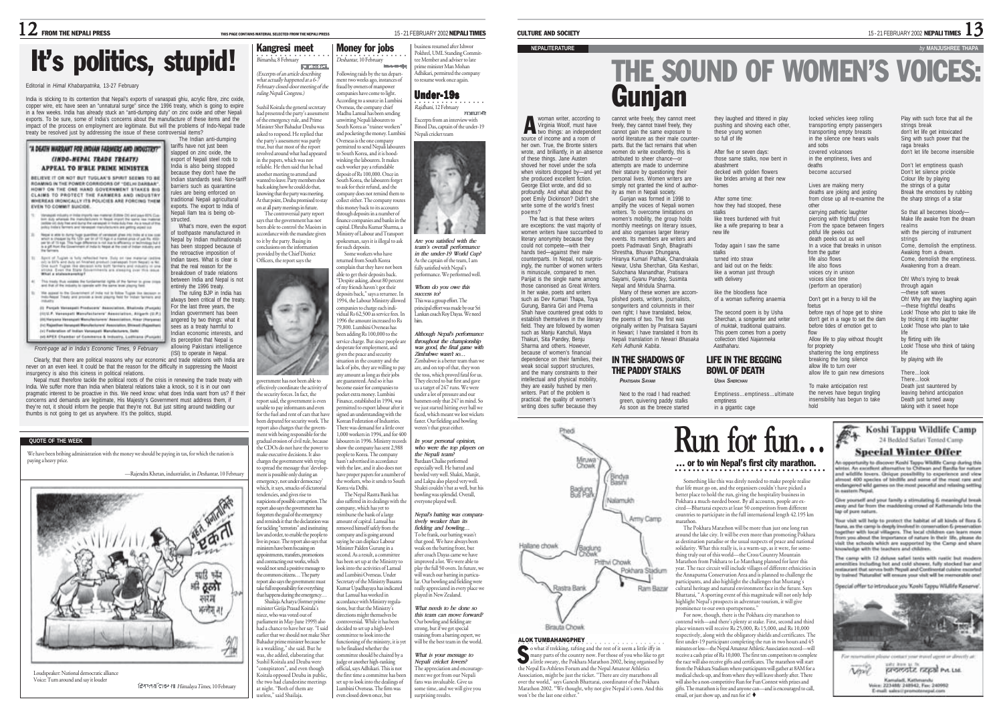# It's politics, stupid! Nangresi meet

### Editorial in *Himal Khabarpatrika,* 13-27 February

India is sticking to its contention that Nepal's exports of vanaspati ghiu, acrylic fibre, zinc oxide, copper wire, etc have seen an "unnatural surge" since the 1996 treaty, which is going to expire in a few weeks. India has already stuck an "anti-dumping duty" on zinc oxide and other Nepali exports. To be sure, some of India's concerns about the manufacture of these items and the impact of the process on employment are legitimate. But will the problems of Indo-Nepal trade treaty be resolved just by addressing the issue of these controversial items? The Indian anti-dumping

> India is also being stopped because they don't have the Indian standards seal. Non-tariff barriers such as quarantine rules are being enforced on traditional Nepali agricultural exports. The export to India of Nepali Ilam tea is being obstructed.

> What's more, even the export of toothpaste manufactured in Nepal by Indian multinationals has been stopped because of

entirely the 1996 treaty. The ruling BJP in India has always been critical of the treaty. For the last three years, the Indian government has been angered by two things: what it sees as a treaty harmful to Indian economic interests, and its perception that Nepal is allowing Pakistani intelligence

### tariffs have not just been "A DEATH WARRANT FOR INDIAN FARMERS AND INDUSTRY? slapped on zinc oxide, the export of Nepali steel rods to

### CINDO, NEDAL TRADE TREATVI APPEAL TO H'BLE PRIME MINISTER

BELIEVE IT OR NOT BUT TUGLAK'S SPIRIT SEEMS TO BE ROAMING IN THE POWER CORRECORS OF "DELIVEDARBAR".<br>HOW? ON THE ONE HAND GOVERNMENT STAKES BIG CLAIMS TO PROTECT THE FARMERS AND INDUSTRY. WHEREAS IRONICALLY ITS POLICIES ARE FORCING THEM EVEN TO COMMIT SUICIDE.

- magali mballi ji mila myohi ne manini (talah Di) and payi 81% Cue<br>6 duly whenali Re manufatures in Negal mpot Per same na malang<br>Ble oli duly hal and burg the variagali in hela duly tear dua malang<br>Big helan farmers and he
- Negative about to Aurory Pager quantities of vertexant great into trains at a low cost<br>which is changed by the NSP gas to off 10 Age is a standard press of pall Re, 4000<br>one you of 11 kept. This hope philosopher of the low particular company of the bage.
- the retroactive imposition of  $\mathrm{Japct}$  of  $\mathrm{Japct}$  is  $\mathrm{Jab}$  reduced from  $\mathrm{Jab}$  as one measure police and the set due and the contract contract of the mass of the set of the set of the set of the set of the set of the set of the set of the set Indian taxes. What is clear is that the real reason for the breakdown of trade relations between India and Nepal is not
- This trady that volume the furnismental rights of the famour is given copy
- We appeal to the Government of index not to follow Toyota the decount matches of the process
- (1) Policie Vansepall Producers' Association, Shallock IPu (1) U.P. Vanaspati Manufactoriers' Appoiation, Aligaris (U.P.) (III) Haryana Wananjati Manufacturers' Association, Hisa (iv) Rejection Incorport Manufacturers' Association, Brianet (Rejection (c) Federation of Indian Vansageti Manufacturers, Gallo<br>(c) APEX Chamber of Commerce & Industry, Lothlane (Funjab

*Front-page ad in India's Economic Times, 9 February*

(ISI) to operate in Nepal. Clearly, that there are political reasons why our economic and trade relations with India are never on an even keel. It could be that the reason for the difficulty in suppressing the Maoist insurgency is also this iciness in political relations.

Nepal must therefore tackle the political roots of the crisis in renewing the trade treaty with India. We suffer more than India when bilateral relations take a knock, so it is in our own pragmatic interest to be proactive in this. We need know: what does India want from us? If their concerns and demands are legitimate, His Majesty's Government must address them, if they're not, it should inform the people that they're not. But just sitting around twiddling our thumbs is not going to get us anywhere. It's the politics, stupid.

### **QUOTE OF THE WEEK**

We have been bribing administration with the money we should be paying in tax, for which the nation is paying a heavy price.

-Rajendra Khetan, industrialist, in Deshantar, 10 Februar



Voice: Turn around and say it louder

Himalaya Times, 10 February

what actually happened at a 6-7 February closed-door meeting of the ruling Nepali Congress.) Sushil Koirala the general secretary

had presented the party's assessme of the emergency rule, and Prime Minister Sher Bahadur Deuba was asked to respond. He replied that the party's assessment was partly true, but that most of the report revolved around what had appeared in the papers, which was not reliable. He then said that he had another meeting to attend and wanted to leave. Party members sho back asking how he could do that, knowing that the party was meeting. At that point, Deuba promised to stay on at all party meetings in future. The controversial party report Madhu Lamsal has been sending unwitting Nepali labourers to South Korea as "trainee workers" and pocketing the money. Lumbir Overseas is the one company ermitted to send Nepali labour to South Korea, and it is hoodwinking the labourers. It makes each worker pay a refundable deposit of Rs 100,000. Once in South Korea, the labourers forget to ask for their refund, and the ompany does not remind them to ollect either. The company routes this money back to its accounts through deposits in a number of

Money for jobs

Deshantar, 10 February Following raids by the tax department two weeks ago, instances of fraud by owners of manpower companies have come to light. According to a source in Lumbini Overseas, the company chief

says that the government has not been able to control the Maoists in accordance with the mandate given to it by the party. Basing its conclusions on the information provided by the Chief District finance companies and banks in the capital. Dhruba Kumar Sharma, a Ministry of Labour and Transport spokesman, says it is illegal to ask for such deposits. Some workers who have

Officers, the report says the returned from South Korea complain that they have not been able to get their deposits back.

"Despite asking, about 80 percent of my friends haven't got their deposits back," says a returnee. In 1994, the Labour Ministry allowed npanies to charge each indim vidual Rs 62,500 as service fees. In 1996 the amount increased to Rs 79,800. Lumbini Overseas has en adding Rs 100,000 to the rvice charge. But since people are desperate for employment, and <sup>g</sup>iven the peace and security

government has not been able to effectively coordinate the activity of the security forces. In fact, the report said, the government is eve unable to pay informants and even for the fuel and rent of cars that hav been deputed for security work. The report also charges that the government with being responsible for the dual erosion of civil rule, becaus the CDOs do not have the power to make executive decisions. It also charges the government with trying<br>to spread the message that 'develor to summer minitelying ment is possible only during an ergency, not under democracy which, it says, smacks of dictatorial tendencies, and gives rise to suspicions of possible corruption. The report also says the government has forvotten the goal of the emergency and reminds it that the declaration was for tackling "terrorists" and instituting tuation in the country and the lack of jobs, they are willing to pay any amount as long as their jobs are guaranteed. And so it has become easier for companies to pocket extra money. Lumbini Finance, established in 1994, was ermitted to export labour after it gned an understanding with the rea an unactstanding with the<br>rean Federation of Industries. There was demand for a little over 1,000 workers in 1994, and for 400 labourers in 1996. Ministry records show the company has sent 2,988 people to Korea. The company asn't advertised in accordance with the law, and it also does not have proper papers for a number of the workers, who it sends to South Korea via Delhi. The Nepal Rastra Bank has also suffered in its dealings with the company, which has yet to reimburse the bank of a large amount of capital. Lamsal has

law and order, to enable the people to live in peace. The report also says that ministers have been focusing on appointments, transfers, promotions contracting out works, which would not send a positive message to the common citizens… The party report also says the government must take full responsibility for everything that happens during the emergency. Shailaja Acharya (former prime minister Girija Prasad Koirala's niece, who was voted out of parliament in May-June 1999) also had a chance to have her say. "I said earlier that we should not make She moved himself safely from the company and is going around saying he can displace Labour Minister Palden Gurung in a second. As a result, a committee has been set up at the Ministry to look into the activities of Lamsal and Lumbini Overseas. Under Secretary of the Ministry Basanta Kumar Upadhayaya has indicated that Lamsal has worked in accordance with Ministry regulations, but that the Ministry's directions might themselves be controversial. While it has been decided to set up a high-level committee to look into the functioning of the ministry, it is yet

Bahadur prime minister because he is a weakling," she said. But he was, she added, elaborating that Sushil Koirala and Deuba were "conspirators", and even though Koirala opposed Deuba in public, the two had clandestine meetings at night. "Both of them are useless," said Shailaja. to be finalised whether the committee should be chaired by a idge or another high-ranking official, says Adhikari. This is not the first time a committee has bee set up to look into the dealings of Lumbini Overseas. The firm was even closed down once, but

○○○○○○○○○○ ○○○○○○ business resumed after Ishwor Pokhrel, UML Standing Committee Member and adviser to late prime minister Man Mohan Adhikari, permitted the company to resume work once again.

## Under-19s

Nepali cricket team

•<br>*Rajdhani,* 12 February arvously Excerpts from an interview with Binod Das, captain of the under-19



*Whom do you owe this success to?* This was a group effort. The him.

> *throughout the championship was good, the final game with Zimbabwe wasn't so…* the toss, which proved fatal for us. They elected to bat first and gave

we just started hitting ever ball we faced, which meant we lost wickets faster. Our fielding and bowling weren't that great either.

*who were the top players on the Nepali team?* Bardaan Chalise performed especially well. He batted and .<br>bwled very well. Shakti, Maniit and Lakpa also played very well. Shakti couldn't bat as well, but his bowling was splendid. Overall,

> *fielding and bowling…* To be frank, our batting wasn't that good. We have always been weak on the batting front, but after coach Dayas came we have improved a lot. We were able to play the full 50 overs. In future, we will watch our batting in particular. Our bowling and fielding wen really appreciated in every place we played in New Zealand.

*What needs to be done so this team can move forward?* Our bowling and fielding are strong, but if we get special ing from a batting expert, we will be the best team in the world.

*What is your message to Nepali cricket lovers?* The appreciation and encouragement we got from our Nepali fans was invaluable. Give us some time, and we will give you surprising results.

### CULTURE AND SOCIETY **15 - 21 FEBRUARY 2002 NEPALI TIMES**

## **NEPALITERATURE** *by* **MANJUSHREE THAPA**

# THE SOUND OF WOMEN'S VOICES: Gunjan

cannot write freely, they cannot meet freely, they cannot travel freely, they cannot gain the same exposure to world literature as their male counterparts. But the fact remains that when women do write excellently, this is attributed to sheer chance—or attempts are made to undermine their stature by questioning their personal lives. Women writers are simply not granted the kind of authority as men in Nepali society. Gunjan was formed in 1998 to amplify the voices of Nepali women writers. To overcome limitations on women's mobility, the group holds monthly meetings on literary issues

woman writer, according to **Manufacturism**<br>
Virginia Woolf, must have<br>
two things: an independent two things: an independent source of income and a room of her own. True, the Bronte sisters wrote, and brilliantly, in an absence of these things. Jane Austen shoved her novel under the sofa when visitors dropped by—and yet she produced excellent fiction. George Eliot wrote, and did so profoundly. And what about the poet Emily Dickinson? Didn't she write some of the world's finest poems? The fact is that these writers are exceptions: the vast majority of

IN THE SHADOWS OF

THE PADDY STALKS *PRATISARA SAYAMI* Next to the road I had reached:



 $\begin{array}{l} \bullet \text{ what if tracking, rating and the rest of it seem a little iff in many parts of the country now. For those of you who like to get a little swearv, the Pokhara Marathanon 2002, being organized by a little swearv.} \end{array}$ many parts of the country now. For those of you who like to get little sweaty, the Pokhara Marathon 2002, being organised by the Nepal Ex-Athletes Forum and the Nepal Amateur Athletics Association, might be just the ticket. "There are city marathons all over the world," says Ganesh Bhattarai, coordinator of the Pokhara Marathon 2002. "We thought, why not give Nepal it's own. And this won't be the last one either."

they laughed and tittered in play pushing and shoving each other these young women so full of life After five or seven days: those same stalks, now bent in abashment

decked with golden flowers like brides arriving at their new homes After some time: how they had stooped, these stalks like trees burdened with fruit like a wife preparing to bear a new life

Today again I saw the same stalks turned into straw and laid out on the fields: like a woman just through with delivery

like the bloodless face of a woman suffering anaemia The second poem is by Usha Sherchan, a songwriter and writer of *muktak*, traditional quatrains. This poem comes from a poetry collection titled *Najanmeka Aasthaharu*. foetus

### LIFE IN THE BEGGING BOWL OF DEATH

### *USHA SHERCHAN*

**Run for fun…**

Something like this was direly needed to make people realise that life must go on, and the organisers couldn't have picked a better place to hold the run, giving the hospitality business in Pokhara a much-needed boost. By all accounts, people are excited—Bhattarai expects at least 50 competitors from different countries to participate in the full international length 42.195 km

The Pokhara Marathon will be more than just one long run around the lake city. It will be even more than promoting Pokhara as destination paradise or the usual suspects of peace and national solidarity. What this really is, is a warm-up, as it were, for something truly out of this world—the Cross Country Mountain Marathon from Pokhara to Lo Manthang planned for later this year. The race circuit will include villages of different ethnicities in the Annapurna Conservation Area and is planned to challenge the participants, and also highlight the challenges that Mustang's cultural heritage and natural environment face in the future. Says Bhattarai, " A sporting event of this magnitude will not only help highlight Nepal's prospects in adventure tourism, it will give prominence to our own sportspersons." For now, though, there is the Pokhara city marathon to contend with—and there's plenty at stake. First, second and third place winners will receive Rs 25,000, Rs 15,000, and Rs 10,000 respectively, along with the obligatory shields and certificates. The first under-19 participant completing the run in two hours and 45 minutes or less—the Nepal Amateur Athletic Association record—will receive a cash prize of Rs 10,000. The first ten competitors to complet the race will also receive gifts and certificates. The marathon will start from the Pokhara Stadium where participants will gather at 8AM for a medical check-up, and from where they will leave shortly after. There will also be a non-competitive Run for Fun Contest with prizes and <sup>g</sup>ifts. The marathon is free and anyone can—and is encouraged to call,

email, or just show up, and run for it!  $\blacklozenge$ 

green, quivering paddy stalks As soon as the breeze started Emptiness…emptiness…ultimate emptiness in a gigantic cage

marathon.

transporting empty passengers transporting empty breasts in the silence one hears wails and sobs covered volcanoes in the emptiness, lives and deaths become accursed

locked vehicles keep rolling

Lives are making merry deaths are joking and jesting from close up all re-examine the other

carrying pathetic laughter piercing with frightful cries From the space between fingers pitiful life peeks out death peeks out as well In a voice that breaks in unison from the gutter life also flows life also flows voices cry in unison voices slice time (perform an operation) Don't get in a frenzy to kill the So that all becomes bloody— Make life awake from the dream realms with the piercing of instrument strings Come, demolish the emptiness. Awaking from a dream. Come, demolish the emptiness. Awakening from a dream. Oh! Who's trying to break through again —these soft waves Oh! Why are they laughing again —these frightful deaths Look! Those who plot to take life

before rays of hope get to shine don't get in a rage to set the dam before tides of emotion get to flow Allow life to play without thought for propriety shattering the long emptiness breaking the long silence allow life to turn over allow life to gain new dimesions To make anticipation rest

the nerves have begun tingling insensibility has begun to take hold Death just sauntered by leaving behind anticipation Death just turned away taking with it sweet hope

> Koshi Tappu Wildlife Camp 24 Bedded Safari Tented Camp

and wildlife lovers. Only a possibility to experience and view<br>almost 400 species of birdlife and some of the most rare and<br>endangered wild games on the most peaceful and relaxing setting Austria: Nema

way and far from the maddening crowd of Kathmandu loto the ap of pure nature

launa, as the camp is deeply involved in conservation & preservation<br>together with local villagers. The local children can learn more<br>from you about the importance of nature in their life, please do (all the achools which are aupported by the Camp and share published with the teachers and children

mentles including hot and cold shower, fully stocked bar and<br>neisties that serves both Mezoll and Continental cuisine excorted resined Naturalist' will ensure your visit will be memorable one



per hou is a good eve use.  $\overline{\text{Var}}$ Constant Kathe Voice: 223488/248942, Fax: 240992 E-mail: salestitpro

… or to win Nepal's first city marathon. ○○○○○○○○○○○○ ○○○○○○○○○○○○○○○○○○○○○○

by tricking it into laughter Look! Those who plan to take life by flirting with life Look! Those who think of taking

**Special Winter Offer** in connecturally to discover Koshi Tanno Wikilik Camp during this

life by playing with life There…look There…look

Give yourself and your family a stimulating & meaningful break

our visit will help to protect the habitat of all kinds of flora &

The caren with 12 deluse sated tents with rustic but moder

leecial offer to introduce you 'Koshi Tappu Wildlife Reserve



Play with such force that all the strings break don't let life get intoxicated Sing with such power that the raga breaks don't let life become insensible Don't let emptiness quash Don't let silence prickle Colour life by playing the strings of a guitar Break the emotions by rubbing the sharp strings of a sitar

# *Are you satisfied with the team's overall performance in the under-19 World Cup?* As the captain of the team, I am fully satisfied with Nepal's performance. We performed well. principal effort was made by our Sri Lankan coach Roy Dayas. We need *Although Nepal's performance*

Zimbabwe is a better team than we are, and on top of that, they won us a target of 247 runs. We were under a lot of pressure and our batsmen only that 247 in mind. So

*In your personal opinion,*

everyone played well.

*Nepal's batting was comparatively weaker than its*

In her wake, noate and writers such as Dev Kumari Thapa, Toya Gurung, Banira Giri and Prema such as Manju Kanchuli, Maya Thakuri, Sita Pandey, Benju Sharma and others. However, because of women's financial dependence on their families, their weak social support structures, and the many constraints to their intellectual and physical mobility, they are easily hushed by men writers. Part of the problem is practical: the quality of women's writing does suffer because they

women writers have succumbed to literary anonymity because they could not compete—with the hands tied—against their male counterparts. In Nepal, not surpris-ingly, the number of women writers is minuscule, compared to men. Parijat is the single name among those canonised as Great Writers. Shah have countered great odds to establish themselves in the literary field. They are followed by women and also organises larger literary events. Its members are writers and poets Padmavati Singh, Bhagirathi Shrestha, Bhuvan Dhungana, Hiranya Kumari Pathak, Chandrakala Newar, Usha Sherchan, Gita Keshari, Sulochana Manandhar, Pratisara Sayami, Gyanu Pandey, Susmita Nepal and Mridula Sharma. Many of these women are accomplished poets, writers, journalists, songwriters and columnists in their own right; I have translated, below, the poems of two. The first was originally written by Pratisara Sayami in Newari; I have translated it from its Nepali translation in *Newari Bhasaka Kehi Adhunik Kabita*.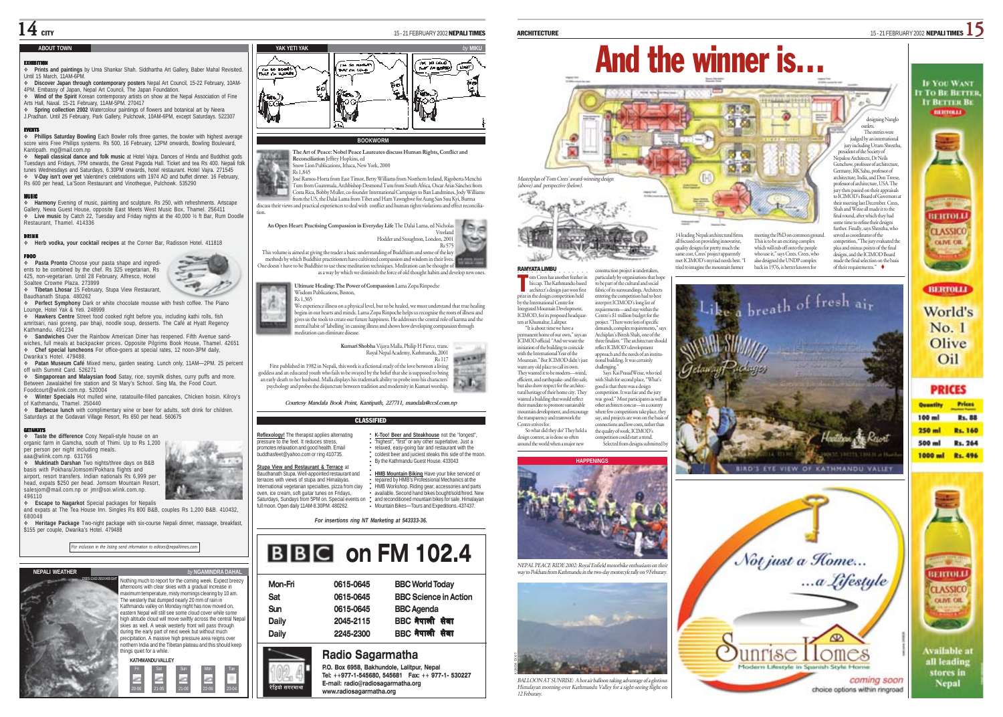### **ABOUT TOWN**

### EXHIBITION

- **Prints and paintings** by Uma Shankar Shah. Siddhartha Art Gallery, Baber Mahal Revisited. Until 15 March, 11AM-6PM.
- **Discover Japan through contemporary posters** Nepal Art Council, 15-22 February, 10AM-4PM. Embassy of Japan, Nepal Art Council, The Japan Foundation.
- **Wind of the Spirit** Korean contemporary artists on show at the Nepal Association of Fine Arts Hall, Naxal. 15-21 February, 11AM-5PM. 270417
- **Spring collection 2002** Watercolour paintings of flowers and botanical art by Neera J.Pradhan. Until 25 February, Park Gallery, Pulchowk, 10AM-6PM, except Saturdays. 522307

EVENTS **Phillips Saturday Bowling** Each Bowler rolls three games, the bowler with highest average score wins Free Phillips systems. Rs 500, 16 February, 12PM onwards, Bowling Boulevard, Kantipath. mg@mail.com.np

 **Nepali classical dance and folk music** at Hotel Vajra. Dances of Hindu and Buddhist gods Tuesdays and Fridays, 7PM onwards, the Great Pagoda Hall. Ticket and tea Rs 400. Nepali folk tunes Wednesdays and Saturdays, 6.30PM onwards, hotel restaurant. Hotel Vajra. 271545 **V-Day isn't over yet** Valentine's celebrations with 1974 AD and buffet dinner. 16 February, Rs 600 per head, La'Soon Restaurant and Vinotheque, Pulchowk. 535290

MUSIC **Harmony** Evening of music, painting and sculpture. Rs 250, with refreshments. Artscape Gallery, Newa Guest House, opposite East Meets West Music Box, Thamel. 256411 **Live music** by Catch 22, Tuesday and Friday nights at the 40,000 ½ ft Bar, Rum Doodle Pestaurant, Thamel. 414336

DRINK **Herb vodka, your cocktail recipes** at the Corner Bar, Radisson Hotel. 411818

### FOOD

 **Pasta Pronto** Choose your pasta shape and ingredients to be combined by the chef. Rs 325 vegetarian, Rs 425, non-vegetarian. Until 28 February, Alfresco, Hotel Soaltee Crowne Plaza. 273999

 **Tibetan Lhosar** 15 February, Stupa View Restaurant, Baudhanath Stupa. 480262

**Perfect Symphony** Dark or white chocolate mousse with fresh coffee. The Piano Lounge, Hotel Yak & Yeti. 248999 **Hawkers Centre** Street food cooked right before you, including kathi rolls, fish

amritsari, nasi goreng, pav bhaji, noodle soup, desserts. The Café at Hyatt Regency Kathmandu. 491234

 **Sandwiches** Over the Rainbow American Diner has reopened. Fifth Avenue sandwiches, full meals at backpacker prices. Opposite Pilgrims Book House, Thamel. 42651 **Chef special luncheons** For office-goers at special rates, 12 noon-3PM daily, Dwarika's Hotel. 479488.

 **Patan Museum Café** Mixed menu, garden seating. Lunch only, 11AM—2PM. 25 percent off with Summit Card. 526271

 **Singaporean and Malaysian food** Satay, rice, soymilk dishes, curry puffs and more. Between Jawalakhel fire station and St Mary's School. Sing Ma, the Food Court. Foodcourt@wlink.com.np. 520004

 **Winter Specials** Hot mulled wine, ratatouille-filled pancakes, Chicken hoisin. Kilroy's of Kathmandu, Thamel. 250440

 **Barbecue lunch** with complimentary wine or beer for adults, soft drink for children. Saturdays at the Godavari Village Resort, Rs 650 per head. 560675

### GETAWAYS

 **Taste the difference** Cosy Nepali-style house on an organic farm in Gamcha, south of Thimi. Up to Rs 1,200 per person per night including meals.

aaa@wlink.com.np. 631766 **Muktinath Darshan** Two nights/three days on B&B basis with Pokhara/Jomsom/Pokhara flights and airport, resort transfers. Indian nationals Rs 6,999 per head, expats \$250 per head. Jomsom Mountain Resort

salesjom@mail.com.np or jmr@soi.wlink.com.np. 496110

and expats at The Tea House Inn. Singles Rs 800 B&B, couples Rs 1,200 B&B. 410432, 680048

 **Heritage Package** Two-night package with six-course Nepali dinner, massage, breakfast, \$155 per couple, Dwarika's Hotel, 479488





### **NEPALI WEATHER** *by* **NGAMINDRA DAHAL** Nothing much to report for the coming week. Expect breezy afternoons with clear skies with a gradual increase in mennoons win ciear skies wint a graduar increase in<br>naximum temperature, misty mornings clearing by 10 am. The westerly that dumped nearly 20 mm of rain in Kathmandu valley on Monday night has now moved on, eastern Nepal will still see some cloud cover while some high altitude cloud will move swiftly across the central Nepal skies as well. A weak westerly front will pass through during the early part of next week but without much precipitation. A massive high pressure area reigns over northern India and the Tibetan plateau and this should keep tings quiet for a while **KATHMANDU VALLEY** Fri Sat Sun Mon Tue Ł

20-06 21-05 21-06 22-06 23-04



**The Art of Peace: Nobel Peace Laureates discuss Human Rights, Conflict and Reconciliation** Jeffrey Hopkins, ed Snow Lion Publications, Ithaca, New York, 2000

Rs 1,845

tion.

José Ramos-Horta from East Timor, Betty Williams from Northern Ireland, Rigoberta Menchú Tum from Guatemala, Archbishop Desmond Tutu from South Africa, Oscar Arias Sánchez from<br>Costa Rica, Bobby Muller, co-founder International Campaign to Ban Landmines, Jody Williams<br>from the US, the Dalai Lama from Tibet and discuss their views and practical experiences to deal with conflict and human rights violations and effect reconcilia-

**An Open Heart: Practising Compassion in Everyday Life** The Dalai Lama, ed Nicholas Vreeland Hodder and Stoughton, London, 2001 Rs 575 This volume is aimed at giving the reader a basic understanding of Buddhism and some of the key methods by which Buddhist practitioners have cultivated compassion and wisdom in their lives. One doesn't have to be Buddhist to use these meditation techniques. Meditation can be thought of

as a way by which we diminish the force of old thought habits and develop new ones

**Ultimate Healing: The Power of Compassion** Lama Zopa Rinpoche Wisdom Publications, Boston, Rs 1,365 揖

We experience illness on a physical level, but to be healed, we must understand that true healing

begins in our hearts and minds. Lama Zopa Rinpoche helps us recognise the roots of illness and <sup>g</sup>ives us the tools to create our future happiness. He addresses the central role of karma and the mental habit of 'labelling' in causing illness and shows how developing compassion through meditation can eliminate disease.

> **Kumari Shobha** Vijaya Malla, Philip H Pierce, trans. Royal Nepal Academy, Kathmandu, 2001 Rs 117 **Richard All Property**

> > **K-Too! Beer and Steakhouse** not the "longest", "highest", "first" or any other superlative. Just a relaxed, easy-going bar and restaurant with the coldest beer and juiciest steaks this side of the moon. By the Kathmandu Guest House. 433043



*Courtesy Mandala Book Point, Kantipath, 227711, mandala@ccsl.com.np*

○○○○○○

### CLASSIFIED

**Reflexology!** The therapist applies alternating pressure to the feet. It reduces stress, promotes relaxation and good health. Email buddhasfeet@yahoo.com or ring 410735.

| Mon-Fri | 0615-0645 | <b>BBC World Today</b>       |
|---------|-----------|------------------------------|
| Sat     | 0615-0645 | <b>BBC Science in Action</b> |
| Sun     | 0615-0645 | <b>BBC</b> Agenda            |
| Daily   | 2045-2115 | BBC नेपाली सेवा              |
| Daily   | 2245-2300 | <u> PRC बेवाकी सेवा</u>      |

## **Radio Sagarmatha**

**P.O. Box 6958, Bakhundole, Lalitpur, Nepal Tel: ++977-1-545680, 545681 Fax: ++ 977-1- 530227 E-mail: radio@radiosagarmatha.org www.radiosagarmatha.org**



to be part of the cultural and social fabric of its surroundings. Architects entering the competition had to best interpret ICIMOD's long list of requirements—and stay within the Centre's \$1 million budget for the project. "There were lots of specific demands, complex requirements," says Archiplan's Biresh Shah, one of the three finalists. "The architecture shoul reflect ICIMOD's development approach and the needs of an institutional building. It was certainly his cap. The Kathmandu-based architect's design just won first prize in the design competition held by the International Centre for Integrated Mountain Development, ICIMOD, for its proposed headquarters at Khumaltar, Lalitpur. "It is about time we have a anent home of our own," says an ICIMOD official. "And we want the initiation of the building to coincide with the International Year of the Mountain." But ICIMOD didn't just

challenging. Says Kai PrasadWeise, who tied with Shah for second place, "What's good is that there was a design competition. It was fair and the jury was good." Most participants as well as other architects concur—in a country where few competitions take place, they say, and projects are won on the basis connections and low costs, rather than the quality of work, ICIMOD's competition could start a trend. want any old place to call its own. They wanted it to be modern—wired, efficient, and earthquake- and fire-safe, but also show respect for the architectural heritage of their home city. They wanted a building that would reflect their mandate to promote sustainable mountain development, and encourage the transparency and teamwork the Centre strives for. So what did they do? They held a sign contest, as is done so ofter

**HAPPENINGS**

Selected from designs submitted around the world when a major new





meeting the PhD on common ground. This is to be an exciting complex which will rub off onto the people who use it," says Crees. Crees, who also designed the UNDP complex professor of architecture, USA. The jury then passed on their appraisals to ICIMOD's Board of Governors at their meeting last December. Crees, Shah and Weise all made it to the final round, after which they had some time to refine their designs further. Finally, says Shrestha, who served as coordinator of the competition, "The jury evaluated the plus and minus points of the final designs, and the ICIMOD Board made the final selection on the basis



outlets. The entries were

Nepalese Architects, Dr Neils





**IF YOU WANT IT TO BE BETTE!** 



World's No. 1 Olive Oil

**PRICES Prices** 

100 ml R<sub>1</sub>, 88  $250$  ml Rs. 160 500 ml Rs. 264 1000 ml Rs. 496



Available at all leading stores in Nepal



○○○○○○○○○○○ **HMB Mountain Biking** Have your bike serviced or **The Model Control District Control of the Control of Control Control Control Control Control Control Control C** HMB Workshop. Riding gear, accessories and parts available. Second hand bikes bought/sold/hired. New and reconditioned mountain bikes for sale. Himalayan Mountain Bikes—Tours and Expeditions. 437437.

*For insertions ring NT Marketing at 543333-36.*

# **BBC** on FM 102.4

| Mon-Fri | 0615-0645 | <b>BBC World Today</b>       |
|---------|-----------|------------------------------|
| Sat     | 0615-0645 | <b>BBC Science in Action</b> |
| Sun     | 0615-0645 | <b>BBC</b> Agenda            |
| Daily   | 2045-2115 | BBC नेपाली सेवा              |
| Dailv   | 2245-2300 | BBC नेपाली सेवा              |
|         |           |                              |

### BALLOON AT SUNRISE: A hot air balloon taking advantage of a glori Himalayan morning over Kathmandu Valley for a sight-seeing flight on 12 Feburary. KUNDA DIXIT



 $-1$ 

रेडियो सगरमाथा

**Escape to Nagarkot** Special packages for Nepalis